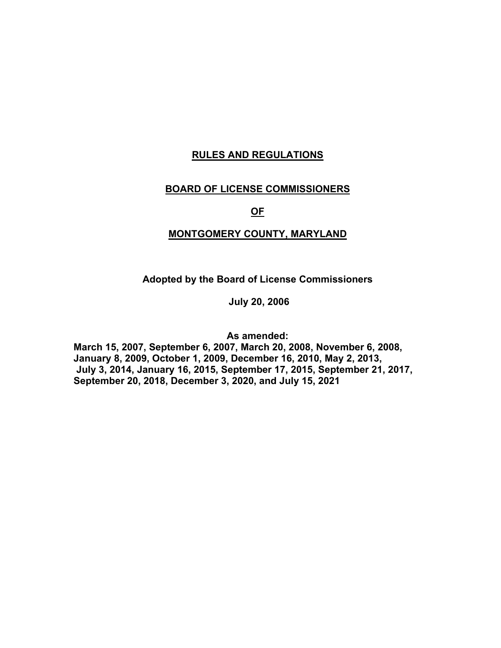## **RULES AND REGULATIONS**

## **BOARD OF LICENSE COMMISSIONERS**

**OF**

## **MONTGOMERY COUNTY, MARYLAND**

**Adopted by the Board of License Commissioners**

**July 20, 2006**

**As amended:** 

**March 15, 2007, September 6, 2007, March 20, 2008, November 6, 2008, January 8, 2009, October 1, 2009, December 16, 2010, May 2, 2013, July 3, 2014, January 16, 2015, September 17, 2015, September 21, 2017, September 20, 2018, December 3, 2020, and July 15, 2021**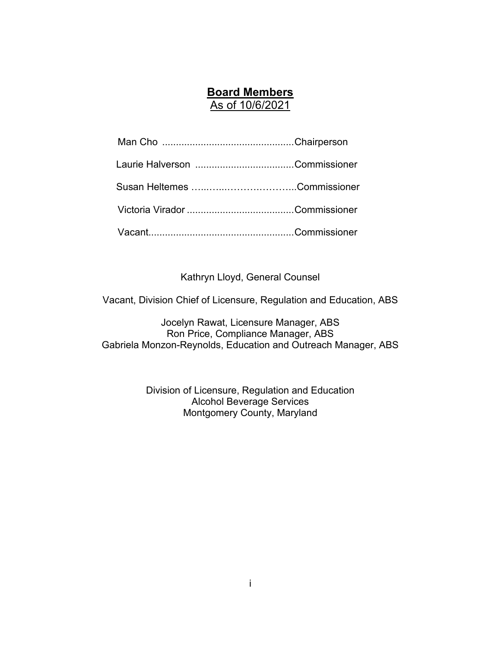## **Board Members**

As of 10/6/2021

Kathryn Lloyd, General Counsel

Vacant, Division Chief of Licensure, Regulation and Education, ABS

Jocelyn Rawat, Licensure Manager, ABS Ron Price, Compliance Manager, ABS Gabriela Monzon-Reynolds, Education and Outreach Manager, ABS

> Division of Licensure, Regulation and Education Alcohol Beverage Services Montgomery County, Maryland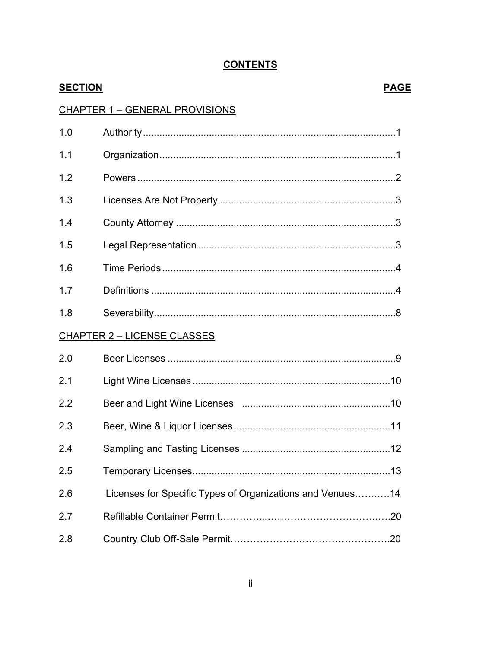## **SECTION PAGE CHAPTER 1 - GENERAL PROVISIONS**  $1<sub>0</sub>$  $1.1$  $12$  $1.3$  $14$  $15$  $1.6$  $1.7$  $1.8$ **CHAPTER 2 – LICENSE CLASSES**  $20$  $21$  $2.2$ 23  $2.4$  $2.5$  $2.6$ Licenses for Specific Types of Organizations and Venues...........14  $2.7$ 2.8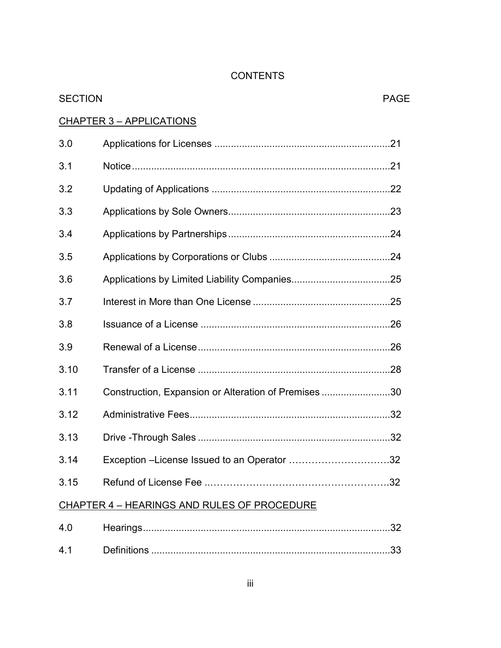| <b>SECTION</b>                              |                                                     | <b>PAGE</b> |
|---------------------------------------------|-----------------------------------------------------|-------------|
| <u>CHAPTER 3 - APPLICATIONS</u>             |                                                     |             |
| 3.0                                         |                                                     |             |
| 3.1                                         |                                                     |             |
| 3.2                                         |                                                     |             |
| 3.3                                         |                                                     |             |
| 3.4                                         |                                                     |             |
| 3.5                                         |                                                     |             |
| 3.6                                         |                                                     |             |
| 3.7                                         |                                                     |             |
| 3.8                                         |                                                     |             |
| 3.9                                         |                                                     |             |
| 3.10                                        |                                                     |             |
| 3.11                                        | Construction, Expansion or Alteration of Premises30 |             |
| 3.12                                        |                                                     |             |
| 3.13                                        |                                                     |             |
| 3.14                                        | Exception -License Issued to an Operator 32         |             |
| 3.15                                        |                                                     |             |
| CHAPTER 4 - HEARINGS AND RULES OF PROCEDURE |                                                     |             |

| 4 (        |                    |  |
|------------|--------------------|--|
| <b>4</b> 1 | <b>Definitions</b> |  |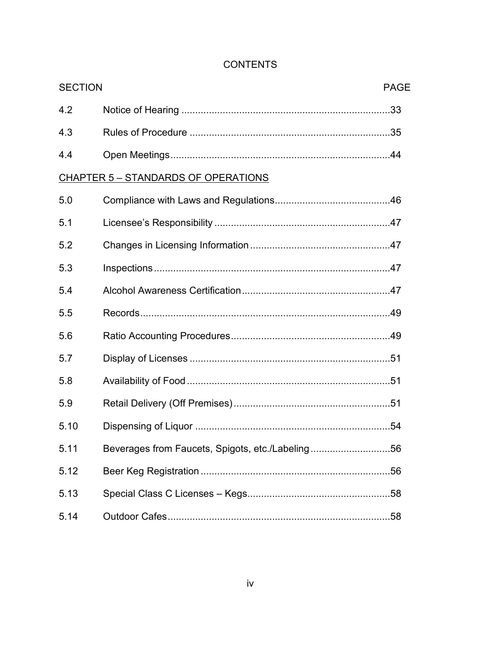| <b>SECTION</b><br><b>PAGE</b> |                                                  |  |
|-------------------------------|--------------------------------------------------|--|
| 4.2                           |                                                  |  |
| 4.3                           |                                                  |  |
| 4.4                           |                                                  |  |
|                               | CHAPTER 5 - STANDARDS OF OPERATIONS              |  |
| 5.0                           |                                                  |  |
| 5.1                           |                                                  |  |
| 5.2                           |                                                  |  |
| 5.3                           |                                                  |  |
| 5.4                           |                                                  |  |
| 5.5                           |                                                  |  |
| 5.6                           |                                                  |  |
| 5.7                           |                                                  |  |
| 5.8                           |                                                  |  |
| 5.9                           |                                                  |  |
| 5.10                          |                                                  |  |
| 5.11                          | Beverages from Faucets, Spigots, etc./Labeling56 |  |
| 5.12                          |                                                  |  |
| 5.13                          |                                                  |  |
| 5.14                          |                                                  |  |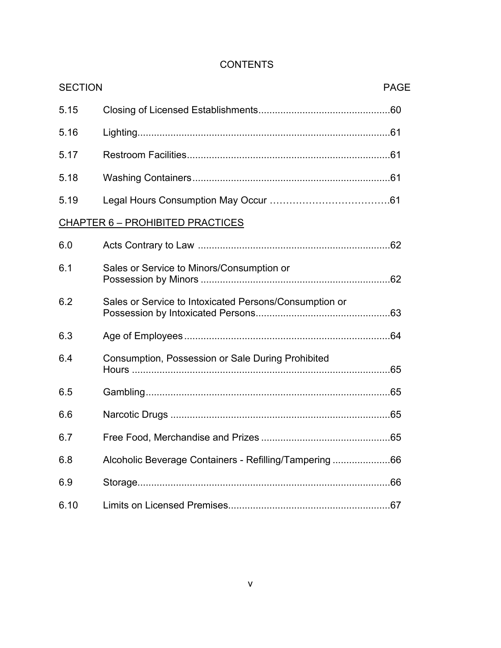| <b>SECTION</b> |                                                        | <b>PAGE</b> |
|----------------|--------------------------------------------------------|-------------|
| 5.15           |                                                        |             |
| 5.16           |                                                        |             |
| 5.17           |                                                        |             |
| 5.18           |                                                        |             |
| 5.19           |                                                        |             |
|                | <b>CHAPTER 6 - PROHIBITED PRACTICES</b>                |             |
| 6.0            |                                                        |             |
| 6.1            | Sales or Service to Minors/Consumption or              |             |
| 6.2            | Sales or Service to Intoxicated Persons/Consumption or |             |
| 6.3            |                                                        |             |
| 6.4            | Consumption, Possession or Sale During Prohibited      |             |
| 6.5            |                                                        |             |
| 6.6            |                                                        |             |
| 6.7            |                                                        |             |
| 6.8            | Alcoholic Beverage Containers - Refilling/Tampering66  |             |
| 6.9            |                                                        |             |
| 6.10           |                                                        |             |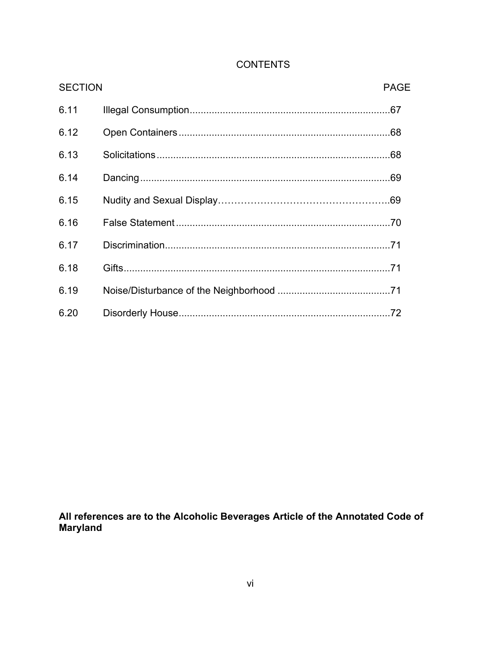| <b>SECTION</b> | <b>PAGE</b> |
|----------------|-------------|
| 6.11           |             |
| 6.12           |             |
| 6.13           |             |
| 6.14           |             |
| 6.15           |             |
| 6.16           |             |
| 6.17           |             |
| 6.18           |             |
| 6.19           |             |
| 6.20           | .72         |

All references are to the Alcoholic Beverages Article of the Annotated Code of Maryland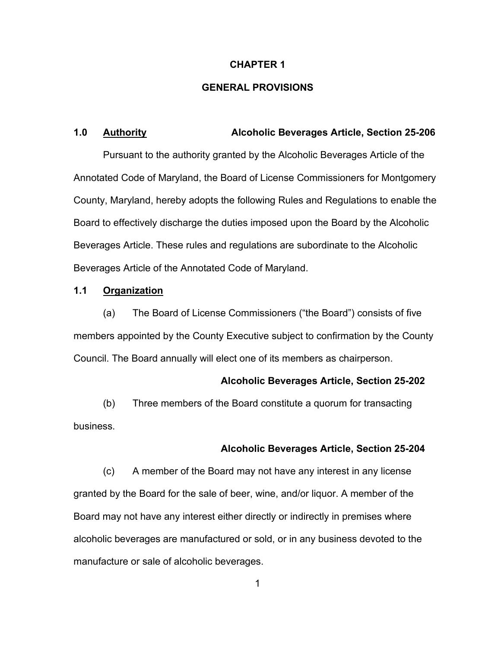## **CHAPTER 1**

## **GENERAL PROVISIONS**

## **1.0 Authority Alcoholic Beverages Article, Section 25-206**

Pursuant to the authority granted by the Alcoholic Beverages Article of the Annotated Code of Maryland, the Board of License Commissioners for Montgomery County, Maryland, hereby adopts the following Rules and Regulations to enable the Board to effectively discharge the duties imposed upon the Board by the Alcoholic Beverages Article. These rules and regulations are subordinate to the Alcoholic Beverages Article of the Annotated Code of Maryland.

## **1.1 Organization**

(a) The Board of License Commissioners ("the Board") consists of five members appointed by the County Executive subject to confirmation by the County Council. The Board annually will elect one of its members as chairperson.

#### **Alcoholic Beverages Article, Section 25-202**

(b) Three members of the Board constitute a quorum for transacting business.

## **Alcoholic Beverages Article, Section 25-204**

(c) A member of the Board may not have any interest in any license granted by the Board for the sale of beer, wine, and/or liquor. A member of the Board may not have any interest either directly or indirectly in premises where alcoholic beverages are manufactured or sold, or in any business devoted to the manufacture or sale of alcoholic beverages.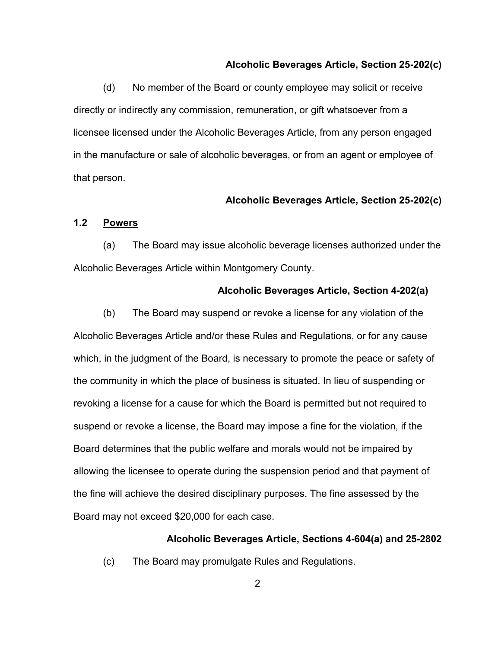## **Alcoholic Beverages Article, Section 25-202(c)**

(d) No member of the Board or county employee may solicit or receive directly or indirectly any commission, remuneration, or gift whatsoever from a licensee licensed under the Alcoholic Beverages Article, from any person engaged in the manufacture or sale of alcoholic beverages, or from an agent or employee of that person.

### **Alcoholic Beverages Article, Section 25-202(c)**

#### **1.2 Powers**

(a) The Board may issue alcoholic beverage licenses authorized under the Alcoholic Beverages Article within Montgomery County.

#### **Alcoholic Beverages Article, Section 4-202(a)**

(b) The Board may suspend or revoke a license for any violation of the Alcoholic Beverages Article and/or these Rules and Regulations, or for any cause which, in the judgment of the Board, is necessary to promote the peace or safety of the community in which the place of business is situated. In lieu of suspending or revoking a license for a cause for which the Board is permitted but not required to suspend or revoke a license, the Board may impose a fine for the violation, if the Board determines that the public welfare and morals would not be impaired by allowing the licensee to operate during the suspension period and that payment of the fine will achieve the desired disciplinary purposes. The fine assessed by the Board may not exceed \$20,000 for each case.

#### **Alcoholic Beverages Article, Sections 4-604(a) and 25-2802**

(c) The Board may promulgate Rules and Regulations.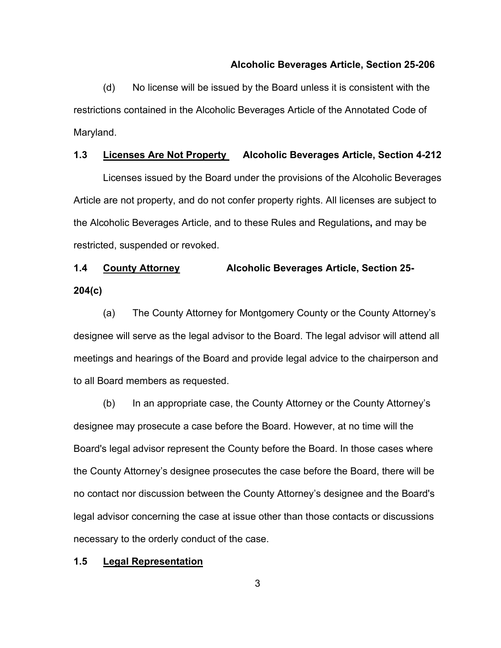#### **Alcoholic Beverages Article, Section 25-206**

(d) No license will be issued by the Board unless it is consistent with the restrictions contained in the Alcoholic Beverages Article of the Annotated Code of Maryland.

## **1.3 Licenses Are Not Property Alcoholic Beverages Article, Section 4-212**

Licenses issued by the Board under the provisions of the Alcoholic Beverages Article are not property, and do not confer property rights. All licenses are subject to the Alcoholic Beverages Article, and to these Rules and Regulations**,** and may be restricted, suspended or revoked.

# **1.4 County Attorney Alcoholic Beverages Article, Section 25- 204(c)**

(a) The County Attorney for Montgomery County or the County Attorney's designee will serve as the legal advisor to the Board. The legal advisor will attend all meetings and hearings of the Board and provide legal advice to the chairperson and to all Board members as requested.

(b) In an appropriate case, the County Attorney or the County Attorney's designee may prosecute a case before the Board. However, at no time will the Board's legal advisor represent the County before the Board. In those cases where the County Attorney's designee prosecutes the case before the Board, there will be no contact nor discussion between the County Attorney's designee and the Board's legal advisor concerning the case at issue other than those contacts or discussions necessary to the orderly conduct of the case.

## **1.5 Legal Representation**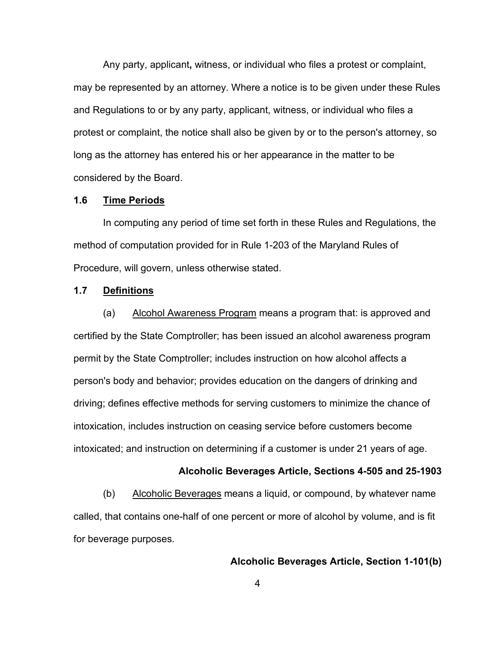Any party, applicant**,** witness, or individual who files a protest or complaint, may be represented by an attorney. Where a notice is to be given under these Rules and Regulations to or by any party, applicant, witness, or individual who files a protest or complaint, the notice shall also be given by or to the person's attorney, so long as the attorney has entered his or her appearance in the matter to be considered by the Board.

### **1.6 Time Periods**

In computing any period of time set forth in these Rules and Regulations, the method of computation provided for in Rule 1-203 of the Maryland Rules of Procedure, will govern, unless otherwise stated.

## **1.7 Definitions**

(a) Alcohol Awareness Program means a program that: is approved and certified by the State Comptroller; has been issued an alcohol awareness program permit by the State Comptroller; includes instruction on how alcohol affects a person's body and behavior; provides education on the dangers of drinking and driving; defines effective methods for serving customers to minimize the chance of intoxication, includes instruction on ceasing service before customers become intoxicated; and instruction on determining if a customer is under 21 years of age.

#### **Alcoholic Beverages Article, Sections 4-505 and 25-1903**

(b) Alcoholic Beverages means a liquid, or compound, by whatever name called, that contains one-half of one percent or more of alcohol by volume, and is fit for beverage purposes.

## **Alcoholic Beverages Article, Section 1-101(b)**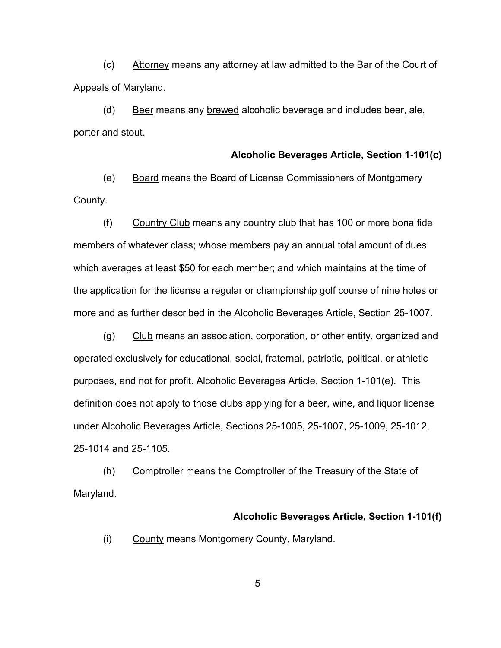(c) Attorney means any attorney at law admitted to the Bar of the Court of Appeals of Maryland.

(d) Beer means any brewed alcoholic beverage and includes beer, ale, porter and stout.

#### **Alcoholic Beverages Article, Section 1-101(c)**

(e) Board means the Board of License Commissioners of Montgomery County.

(f) Country Club means any country club that has 100 or more bona fide members of whatever class; whose members pay an annual total amount of dues which averages at least \$50 for each member; and which maintains at the time of the application for the license a regular or championship golf course of nine holes or more and as further described in the Alcoholic Beverages Article, Section 25-1007.

(g) Club means an association, corporation, or other entity, organized and operated exclusively for educational, social, fraternal, patriotic, political, or athletic purposes, and not for profit. Alcoholic Beverages Article, Section 1-101(e).This definition does not apply to those clubs applying for a beer, wine, and liquor license under Alcoholic Beverages Article, Sections 25-1005, 25-1007, 25-1009, 25-1012, 25-1014 and 25-1105.

(h) Comptroller means the Comptroller of the Treasury of the State of Maryland.

### **Alcoholic Beverages Article, Section 1-101(f)**

(i) County means Montgomery County, Maryland.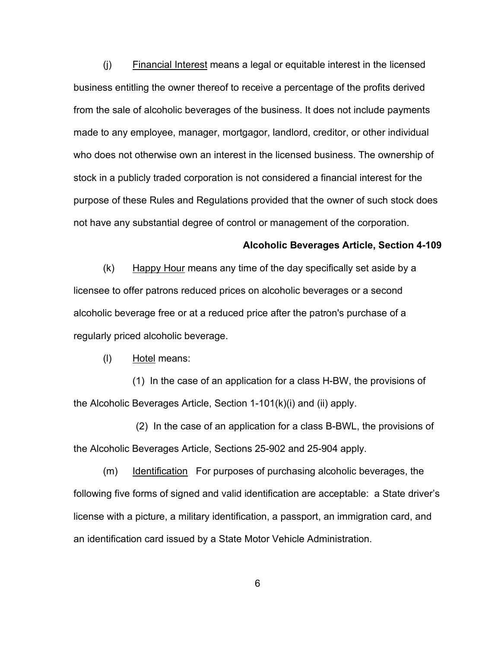(j) Financial Interest means a legal or equitable interest in the licensed business entitling the owner thereof to receive a percentage of the profits derived from the sale of alcoholic beverages of the business. It does not include payments made to any employee, manager, mortgagor, landlord, creditor, or other individual who does not otherwise own an interest in the licensed business. The ownership of stock in a publicly traded corporation is not considered a financial interest for the purpose of these Rules and Regulations provided that the owner of such stock does not have any substantial degree of control or management of the corporation.

#### **Alcoholic Beverages Article, Section 4-109**

(k) Happy Hour means any time of the day specifically set aside by a licensee to offer patrons reduced prices on alcoholic beverages or a second alcoholic beverage free or at a reduced price after the patron's purchase of a regularly priced alcoholic beverage.

(l) Hotel means:

(1) In the case of an application for a class H-BW, the provisions of the Alcoholic Beverages Article, Section 1-101(k)(i) and (ii) apply.

 (2) In the case of an application for a class B-BWL, the provisions of the Alcoholic Beverages Article, Sections 25-902 and 25-904 apply.

(m) Identification For purposes of purchasing alcoholic beverages, the following five forms of signed and valid identification are acceptable: a State driver's license with a picture, a military identification, a passport, an immigration card, and an identification card issued by a State Motor Vehicle Administration.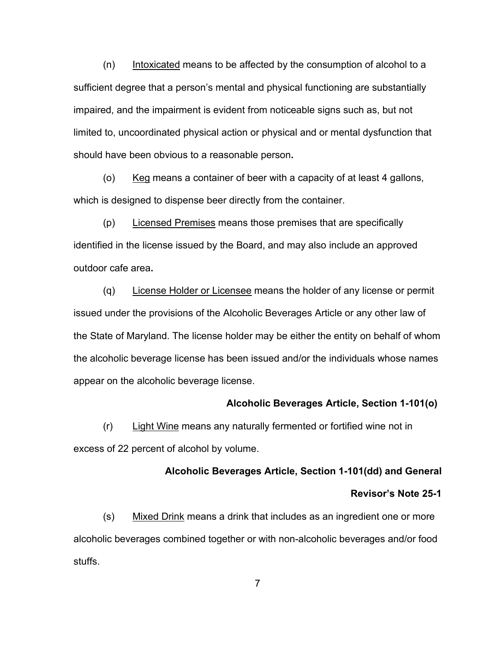$(n)$  Intoxicated means to be affected by the consumption of alcohol to a sufficient degree that a person's mental and physical functioning are substantially impaired, and the impairment is evident from noticeable signs such as, but not limited to, uncoordinated physical action or physical and or mental dysfunction that should have been obvious to a reasonable person**.**

(o)  $Keg$  means a container of beer with a capacity of at least 4 gallons, which is designed to dispense beer directly from the container.

(p) Licensed Premises means those premises that are specifically identified in the license issued by the Board, and may also include an approved outdoor cafe area**.**

(q) License Holder or Licensee means the holder of any license or permit issued under the provisions of the Alcoholic Beverages Article or any other law of the State of Maryland. The license holder may be either the entity on behalf of whom the alcoholic beverage license has been issued and/or the individuals whose names appear on the alcoholic beverage license.

## **Alcoholic Beverages Article, Section 1-101(o)**

 $(r)$  Light Wine means any naturally fermented or fortified wine not in excess of 22 percent of alcohol by volume.

## **Alcoholic Beverages Article, Section 1-101(dd) and General**

### **Revisor's Note 25-1**

(s) Mixed Drink means a drink that includes as an ingredient one or more alcoholic beverages combined together or with non-alcoholic beverages and/or food stuffs.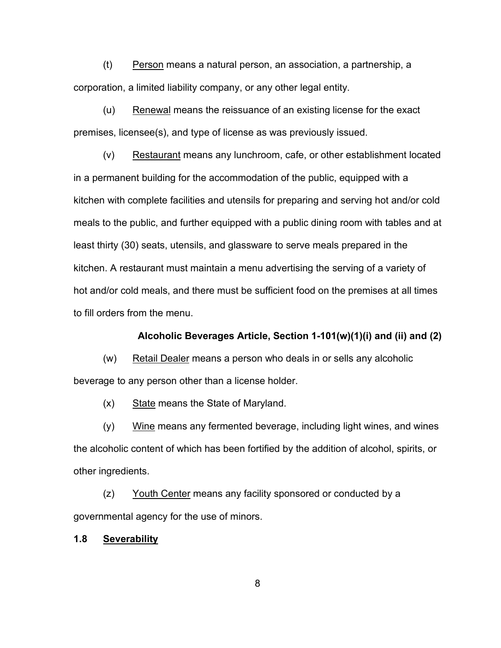(t) Person means a natural person, an association, a partnership, a corporation, a limited liability company, or any other legal entity.

(u) Renewal means the reissuance of an existing license for the exact premises, licensee(s), and type of license as was previously issued.

(v) Restaurant means any lunchroom, cafe, or other establishment located in a permanent building for the accommodation of the public, equipped with a kitchen with complete facilities and utensils for preparing and serving hot and/or cold meals to the public, and further equipped with a public dining room with tables and at least thirty (30) seats, utensils, and glassware to serve meals prepared in the kitchen. A restaurant must maintain a menu advertising the serving of a variety of hot and/or cold meals, and there must be sufficient food on the premises at all times to fill orders from the menu.

## **Alcoholic Beverages Article, Section 1-101(w)(1)(i) and (ii) and (2)**

(w) Retail Dealer means a person who deals in or sells any alcoholic beverage to any person other than a license holder.

 $(x)$  State means the State of Maryland.

(y) Wine means any fermented beverage, including light wines, and wines the alcoholic content of which has been fortified by the addition of alcohol, spirits, or other ingredients.

(z) Youth Center means any facility sponsored or conducted by a governmental agency for the use of minors.

## **1.8 Severability**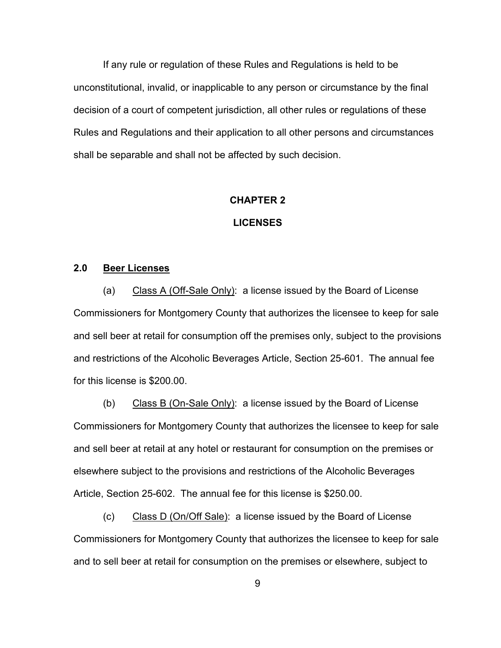If any rule or regulation of these Rules and Regulations is held to be unconstitutional, invalid, or inapplicable to any person or circumstance by the final decision of a court of competent jurisdiction, all other rules or regulations of these Rules and Regulations and their application to all other persons and circumstances shall be separable and shall not be affected by such decision.

## **CHAPTER 2**

### **LICENSES**

## **2.0 Beer Licenses**

(a) Class A (Off-Sale Only): a license issued by the Board of License Commissioners for Montgomery County that authorizes the licensee to keep for sale and sell beer at retail for consumption off the premises only, subject to the provisions and restrictions of the Alcoholic Beverages Article, Section 25-601. The annual fee for this license is \$200.00.

(b) Class B (On-Sale Only): a license issued by the Board of License Commissioners for Montgomery County that authorizes the licensee to keep for sale and sell beer at retail at any hotel or restaurant for consumption on the premises or elsewhere subject to the provisions and restrictions of the Alcoholic Beverages Article, Section 25-602. The annual fee for this license is \$250.00.

(c) Class D (On/Off Sale): a license issued by the Board of License Commissioners for Montgomery County that authorizes the licensee to keep for sale and to sell beer at retail for consumption on the premises or elsewhere, subject to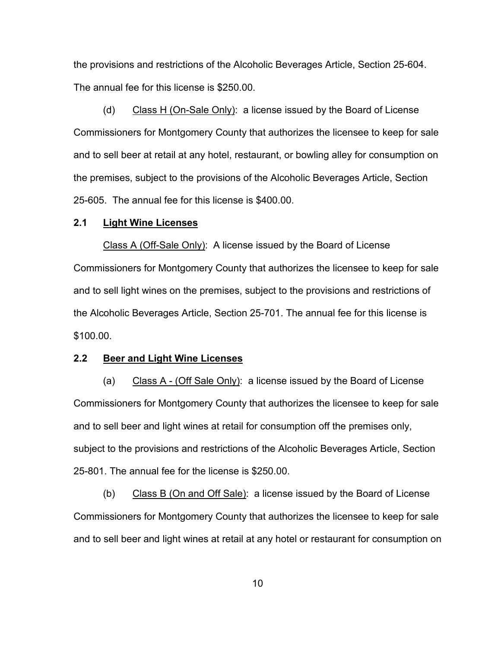the provisions and restrictions of the Alcoholic Beverages Article, Section 25-604. The annual fee for this license is \$250.00.

(d) Class H (On-Sale Only): a license issued by the Board of License Commissioners for Montgomery County that authorizes the licensee to keep for sale and to sell beer at retail at any hotel, restaurant, or bowling alley for consumption on the premises, subject to the provisions of the Alcoholic Beverages Article, Section 25-605. The annual fee for this license is \$400.00.

#### **2.1 Light Wine Licenses**

Class A (Off-Sale Only): A license issued by the Board of License Commissioners for Montgomery County that authorizes the licensee to keep for sale and to sell light wines on the premises, subject to the provisions and restrictions of the Alcoholic Beverages Article, Section 25-701. The annual fee for this license is \$100.00.

## **2.2 Beer and Light Wine Licenses**

(a) Class A - (Off Sale Only): a license issued by the Board of License Commissioners for Montgomery County that authorizes the licensee to keep for sale and to sell beer and light wines at retail for consumption off the premises only, subject to the provisions and restrictions of the Alcoholic Beverages Article, Section 25-801. The annual fee for the license is \$250.00.

(b) Class B (On and Off Sale): a license issued by the Board of License Commissioners for Montgomery County that authorizes the licensee to keep for sale and to sell beer and light wines at retail at any hotel or restaurant for consumption on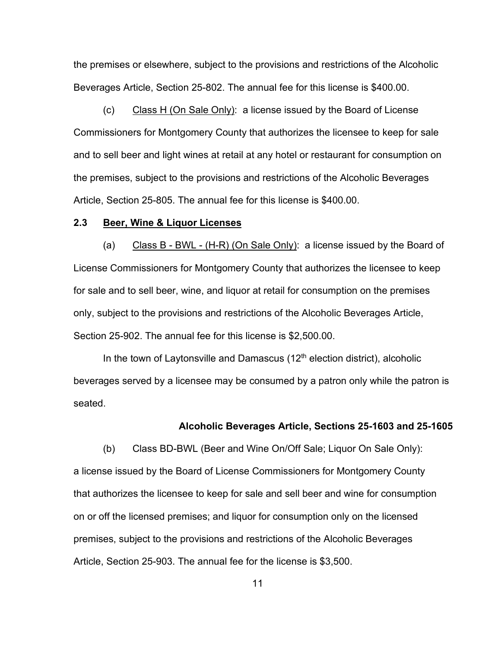the premises or elsewhere, subject to the provisions and restrictions of the Alcoholic Beverages Article, Section 25-802. The annual fee for this license is \$400.00.

(c) Class H (On Sale Only): a license issued by the Board of License Commissioners for Montgomery County that authorizes the licensee to keep for sale and to sell beer and light wines at retail at any hotel or restaurant for consumption on the premises, subject to the provisions and restrictions of the Alcoholic Beverages Article, Section 25-805. The annual fee for this license is \$400.00.

### **2.3 Beer, Wine & Liquor Licenses**

(a) Class B - BWL - (H-R) (On Sale Only): a license issued by the Board of License Commissioners for Montgomery County that authorizes the licensee to keep for sale and to sell beer, wine, and liquor at retail for consumption on the premises only, subject to the provisions and restrictions of the Alcoholic Beverages Article, Section 25-902. The annual fee for this license is \$2,500.00.

In the town of Laytonsville and Damascus  $(12<sup>th</sup>$  election district), alcoholic beverages served by a licensee may be consumed by a patron only while the patron is seated.

#### **Alcoholic Beverages Article, Sections 25-1603 and 25-1605**

(b) Class BD-BWL (Beer and Wine On/Off Sale; Liquor On Sale Only): a license issued by the Board of License Commissioners for Montgomery County that authorizes the licensee to keep for sale and sell beer and wine for consumption on or off the licensed premises; and liquor for consumption only on the licensed premises, subject to the provisions and restrictions of the Alcoholic Beverages Article, Section 25-903. The annual fee for the license is \$3,500.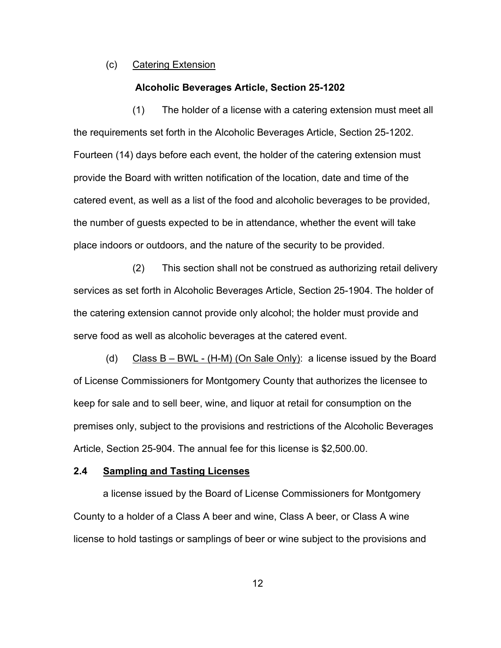### (c) Catering Extension

#### **Alcoholic Beverages Article, Section 25-1202**

(1) The holder of a license with a catering extension must meet all the requirements set forth in the Alcoholic Beverages Article, Section 25-1202. Fourteen (14) days before each event, the holder of the catering extension must provide the Board with written notification of the location, date and time of the catered event, as well as a list of the food and alcoholic beverages to be provided, the number of guests expected to be in attendance, whether the event will take place indoors or outdoors, and the nature of the security to be provided.

(2) This section shall not be construed as authorizing retail delivery services as set forth in Alcoholic Beverages Article, Section 25-1904. The holder of the catering extension cannot provide only alcohol; the holder must provide and serve food as well as alcoholic beverages at the catered event.

(d) Class B – BWL - (H-M) (On Sale Only): a license issued by the Board of License Commissioners for Montgomery County that authorizes the licensee to keep for sale and to sell beer, wine, and liquor at retail for consumption on the premises only, subject to the provisions and restrictions of the Alcoholic Beverages Article, Section 25-904. The annual fee for this license is \$2,500.00.

## **2.4 Sampling and Tasting Licenses**

a license issued by the Board of License Commissioners for Montgomery County to a holder of a Class A beer and wine, Class A beer, or Class A wine license to hold tastings or samplings of beer or wine subject to the provisions and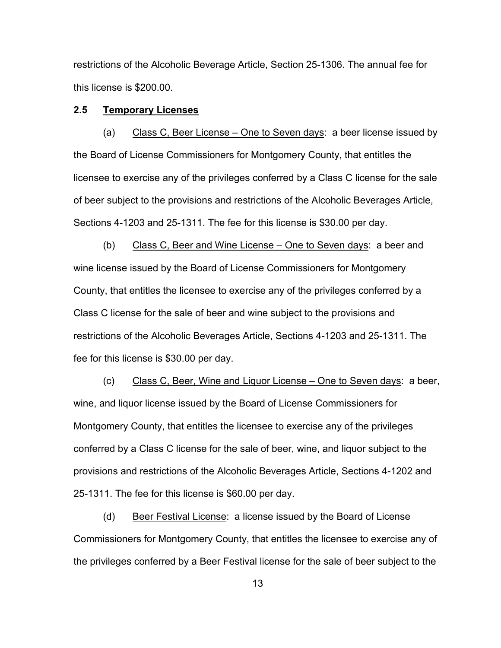restrictions of the Alcoholic Beverage Article, Section 25-1306. The annual fee for this license is \$200.00.

## **2.5 Temporary Licenses**

(a) Class C, Beer License – One to Seven days: a beer license issued by the Board of License Commissioners for Montgomery County, that entitles the licensee to exercise any of the privileges conferred by a Class C license for the sale of beer subject to the provisions and restrictions of the Alcoholic Beverages Article, Sections 4-1203 and 25-1311. The fee for this license is \$30.00 per day.

(b) Class C, Beer and Wine License – One to Seven days: a beer and wine license issued by the Board of License Commissioners for Montgomery County, that entitles the licensee to exercise any of the privileges conferred by a Class C license for the sale of beer and wine subject to the provisions and restrictions of the Alcoholic Beverages Article, Sections 4-1203 and 25-1311. The fee for this license is \$30.00 per day.

(c) Class C, Beer, Wine and Liquor License – One to Seven days: a beer, wine, and liquor license issued by the Board of License Commissioners for Montgomery County, that entitles the licensee to exercise any of the privileges conferred by a Class C license for the sale of beer, wine, and liquor subject to the provisions and restrictions of the Alcoholic Beverages Article, Sections 4-1202 and 25-1311. The fee for this license is \$60.00 per day.

(d) Beer Festival License: a license issued by the Board of License Commissioners for Montgomery County, that entitles the licensee to exercise any of the privileges conferred by a Beer Festival license for the sale of beer subject to the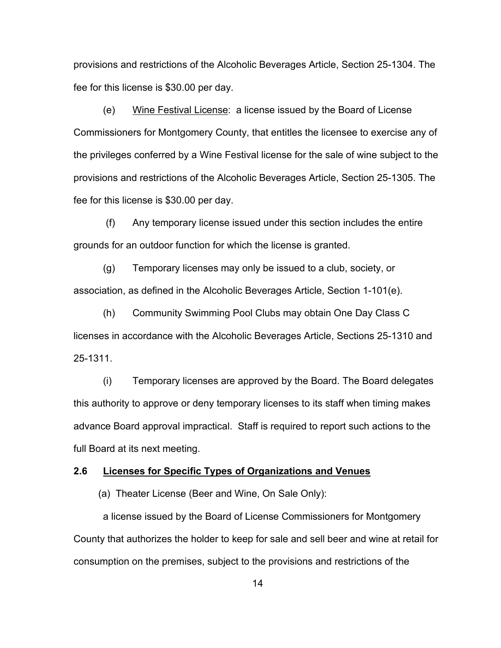provisions and restrictions of the Alcoholic Beverages Article, Section 25-1304. The fee for this license is \$30.00 per day.

(e) Wine Festival License: a license issued by the Board of License Commissioners for Montgomery County, that entitles the licensee to exercise any of the privileges conferred by a Wine Festival license for the sale of wine subject to the provisions and restrictions of the Alcoholic Beverages Article, Section 25-1305. The fee for this license is \$30.00 per day.

(f) Any temporary license issued under this section includes the entire grounds for an outdoor function for which the license is granted.

(g) Temporary licenses may only be issued to a club, society, or association, as defined in the Alcoholic Beverages Article, Section 1-101(e).

(h) Community Swimming Pool Clubs may obtain One Day Class C licenses in accordance with the Alcoholic Beverages Article, Sections 25-1310 and 25-1311.

(i) Temporary licenses are approved by the Board. The Board delegates this authority to approve or deny temporary licenses to its staff when timing makes advance Board approval impractical. Staff is required to report such actions to the full Board at its next meeting.

## **2.6 Licenses for Specific Types of Organizations and Venues**

(a) Theater License (Beer and Wine, On Sale Only):

a license issued by the Board of License Commissioners for Montgomery County that authorizes the holder to keep for sale and sell beer and wine at retail for consumption on the premises, subject to the provisions and restrictions of the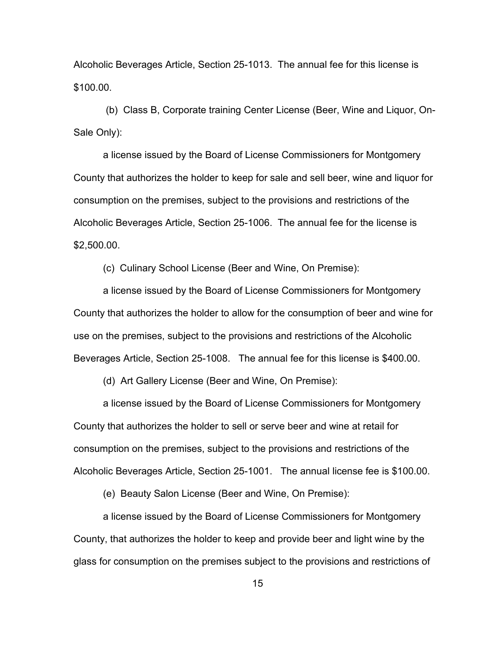Alcoholic Beverages Article, Section 25-1013. The annual fee for this license is \$100.00.

(b) Class B, Corporate training Center License (Beer, Wine and Liquor, On-Sale Only):

a license issued by the Board of License Commissioners for Montgomery County that authorizes the holder to keep for sale and sell beer, wine and liquor for consumption on the premises, subject to the provisions and restrictions of the Alcoholic Beverages Article, Section 25-1006. The annual fee for the license is \$2,500.00.

(c) Culinary School License (Beer and Wine, On Premise):

a license issued by the Board of License Commissioners for Montgomery County that authorizes the holder to allow for the consumption of beer and wine for use on the premises, subject to the provisions and restrictions of the Alcoholic Beverages Article, Section 25-1008. The annual fee for this license is \$400.00.

(d) Art Gallery License (Beer and Wine, On Premise):

a license issued by the Board of License Commissioners for Montgomery County that authorizes the holder to sell or serve beer and wine at retail for consumption on the premises, subject to the provisions and restrictions of the Alcoholic Beverages Article, Section 25-1001. The annual license fee is \$100.00.

(e) Beauty Salon License (Beer and Wine, On Premise):

a license issued by the Board of License Commissioners for Montgomery County, that authorizes the holder to keep and provide beer and light wine by the glass for consumption on the premises subject to the provisions and restrictions of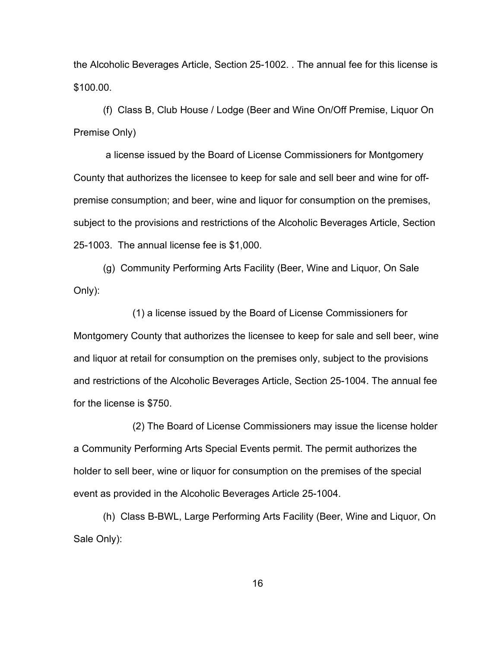the Alcoholic Beverages Article, Section 25-1002. . The annual fee for this license is \$100.00.

(f) Class B, Club House / Lodge (Beer and Wine On/Off Premise, Liquor On Premise Only)

a license issued by the Board of License Commissioners for Montgomery County that authorizes the licensee to keep for sale and sell beer and wine for offpremise consumption; and beer, wine and liquor for consumption on the premises, subject to the provisions and restrictions of the Alcoholic Beverages Article, Section 25-1003. The annual license fee is \$1,000.

(g) Community Performing Arts Facility (Beer, Wine and Liquor, On Sale Only):

(1) a license issued by the Board of License Commissioners for Montgomery County that authorizes the licensee to keep for sale and sell beer, wine and liquor at retail for consumption on the premises only, subject to the provisions and restrictions of the Alcoholic Beverages Article, Section 25-1004. The annual fee for the license is \$750.

(2) The Board of License Commissioners may issue the license holder a Community Performing Arts Special Events permit. The permit authorizes the holder to sell beer, wine or liquor for consumption on the premises of the special event as provided in the Alcoholic Beverages Article 25-1004.

(h) Class B-BWL, Large Performing Arts Facility (Beer, Wine and Liquor, On Sale Only):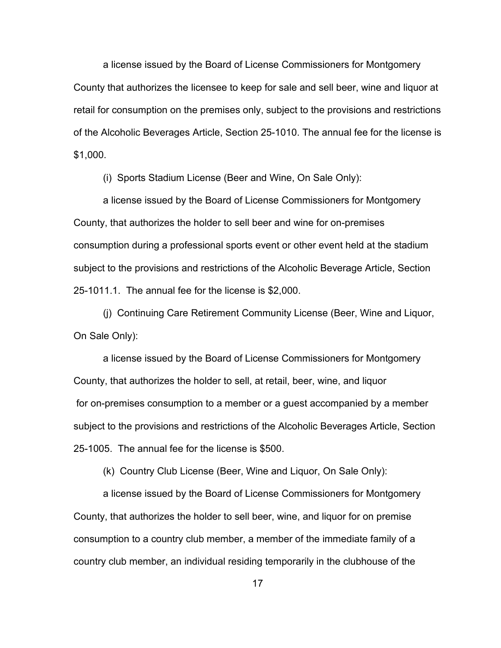a license issued by the Board of License Commissioners for Montgomery County that authorizes the licensee to keep for sale and sell beer, wine and liquor at retail for consumption on the premises only, subject to the provisions and restrictions of the Alcoholic Beverages Article, Section 25-1010. The annual fee for the license is \$1,000.

(i) Sports Stadium License (Beer and Wine, On Sale Only):

a license issued by the Board of License Commissioners for Montgomery County, that authorizes the holder to sell beer and wine for on-premises consumption during a professional sports event or other event held at the stadium subject to the provisions and restrictions of the Alcoholic Beverage Article, Section 25-1011.1. The annual fee for the license is \$2,000.

(j) Continuing Care Retirement Community License (Beer, Wine and Liquor, On Sale Only):

a license issued by the Board of License Commissioners for Montgomery County, that authorizes the holder to sell, at retail, beer, wine, and liquor for on-premises consumption to a member or a guest accompanied by a member subject to the provisions and restrictions of the Alcoholic Beverages Article, Section 25-1005. The annual fee for the license is \$500.

(k) Country Club License (Beer, Wine and Liquor, On Sale Only):

a license issued by the Board of License Commissioners for Montgomery County, that authorizes the holder to sell beer, wine, and liquor for on premise consumption to a country club member, a member of the immediate family of a country club member, an individual residing temporarily in the clubhouse of the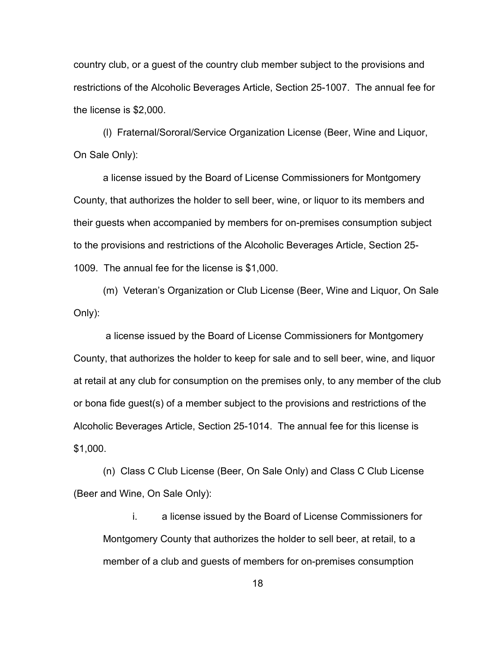country club, or a guest of the country club member subject to the provisions and restrictions of the Alcoholic Beverages Article, Section 25-1007. The annual fee for the license is \$2,000.

(l) Fraternal/Sororal/Service Organization License (Beer, Wine and Liquor, On Sale Only):

a license issued by the Board of License Commissioners for Montgomery County, that authorizes the holder to sell beer, wine, or liquor to its members and their guests when accompanied by members for on-premises consumption subject to the provisions and restrictions of the Alcoholic Beverages Article, Section 25- 1009. The annual fee for the license is \$1,000.

(m) Veteran's Organization or Club License (Beer, Wine and Liquor, On Sale Only):

a license issued by the Board of License Commissioners for Montgomery County, that authorizes the holder to keep for sale and to sell beer, wine, and liquor at retail at any club for consumption on the premises only, to any member of the club or bona fide guest(s) of a member subject to the provisions and restrictions of the Alcoholic Beverages Article, Section 25-1014. The annual fee for this license is \$1,000.

(n) Class C Club License (Beer, On Sale Only) and Class C Club License (Beer and Wine, On Sale Only):

i. a license issued by the Board of License Commissioners for Montgomery County that authorizes the holder to sell beer, at retail, to a member of a club and guests of members for on-premises consumption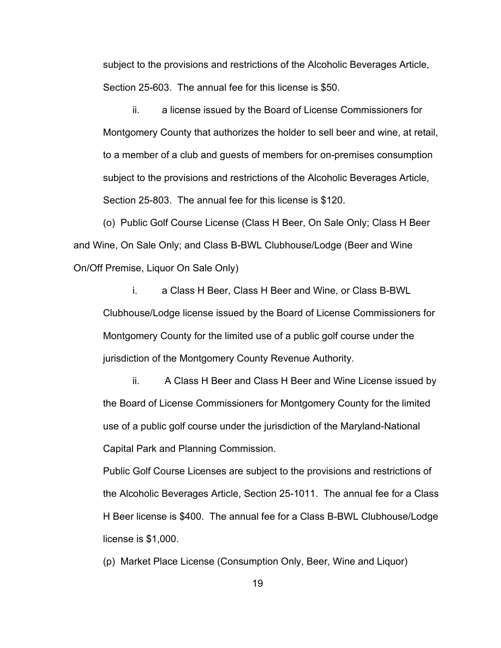subject to the provisions and restrictions of the Alcoholic Beverages Article, Section 25-603. The annual fee for this license is \$50.

ii. a license issued by the Board of License Commissioners for Montgomery County that authorizes the holder to sell beer and wine, at retail, to a member of a club and guests of members for on-premises consumption subject to the provisions and restrictions of the Alcoholic Beverages Article, Section 25-803. The annual fee for this license is \$120.

(o) Public Golf Course License (Class H Beer, On Sale Only; Class H Beer and Wine, On Sale Only; and Class B-BWL Clubhouse/Lodge (Beer and Wine On/Off Premise, Liquor On Sale Only)

i. a Class H Beer, Class H Beer and Wine, or Class B-BWL Clubhouse/Lodge license issued by the Board of License Commissioners for Montgomery County for the limited use of a public golf course under the jurisdiction of the Montgomery County Revenue Authority.

ii. A Class H Beer and Class H Beer and Wine License issued by the Board of License Commissioners for Montgomery County for the limited use of a public golf course under the jurisdiction of the Maryland-National Capital Park and Planning Commission.

Public Golf Course Licenses are subject to the provisions and restrictions of the Alcoholic Beverages Article, Section 25-1011. The annual fee for a Class H Beer license is \$400. The annual fee for a Class B-BWL Clubhouse/Lodge license is \$1,000.

(p) Market Place License (Consumption Only, Beer, Wine and Liquor)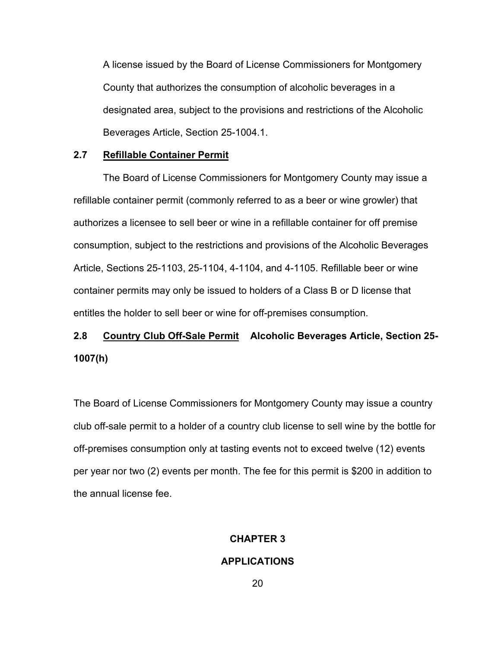A license issued by the Board of License Commissioners for Montgomery County that authorizes the consumption of alcoholic beverages in a designated area, subject to the provisions and restrictions of the Alcoholic Beverages Article, Section 25-1004.1.

## **2.7 Refillable Container Permit**

The Board of License Commissioners for Montgomery County may issue a refillable container permit (commonly referred to as a beer or wine growler) that authorizes a licensee to sell beer or wine in a refillable container for off premise consumption, subject to the restrictions and provisions of the Alcoholic Beverages Article, Sections 25-1103, 25-1104, 4-1104, and 4-1105. Refillable beer or wine container permits may only be issued to holders of a Class B or D license that entitles the holder to sell beer or wine for off-premises consumption.

## **2.8 Country Club Off-Sale Permit Alcoholic Beverages Article, Section 25- 1007(h)**

The Board of License Commissioners for Montgomery County may issue a country club off-sale permit to a holder of a country club license to sell wine by the bottle for off-premises consumption only at tasting events not to exceed twelve (12) events per year nor two (2) events per month. The fee for this permit is \$200 in addition to the annual license fee.

## **CHAPTER 3**

## **APPLICATIONS**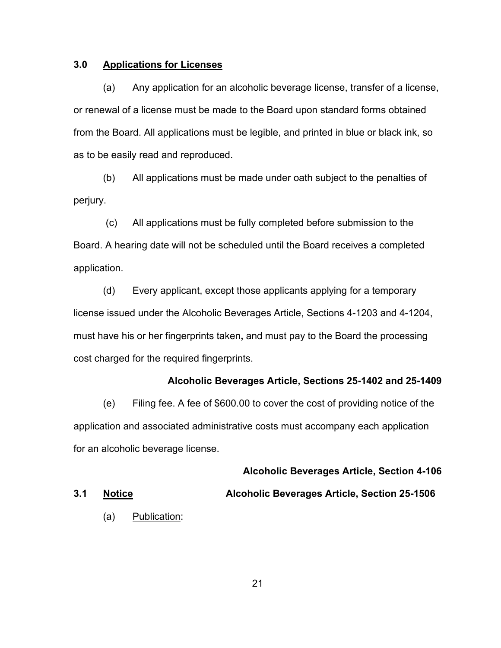## **3.0 Applications for Licenses**

(a) Any application for an alcoholic beverage license, transfer of a license, or renewal of a license must be made to the Board upon standard forms obtained from the Board. All applications must be legible, and printed in blue or black ink, so as to be easily read and reproduced.

(b) All applications must be made under oath subject to the penalties of perjury.

(c) All applications must be fully completed before submission to the Board. A hearing date will not be scheduled until the Board receives a completed application.

(d) Every applicant, except those applicants applying for a temporary license issued under the Alcoholic Beverages Article, Sections 4-1203 and 4-1204, must have his or her fingerprints taken**,** and must pay to the Board the processing cost charged for the required fingerprints.

### **Alcoholic Beverages Article, Sections 25-1402 and 25-1409**

(e) Filing fee. A fee of \$600.00 to cover the cost of providing notice of the application and associated administrative costs must accompany each application for an alcoholic beverage license.

**Alcoholic Beverages Article, Section 4-106 3.1 Notice Alcoholic Beverages Article, Section 25-1506**

(a) Publication: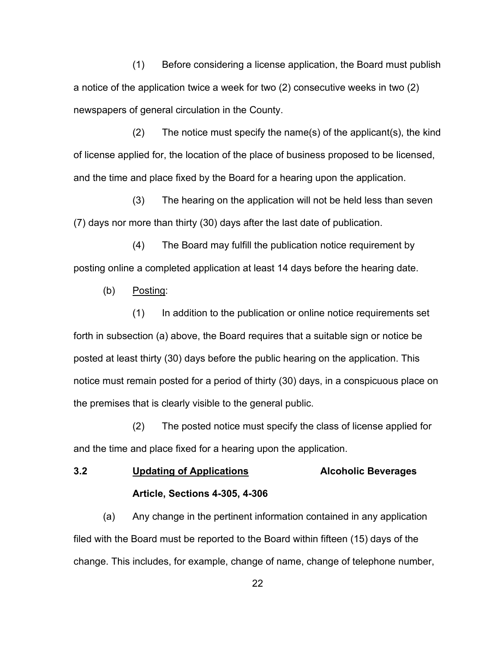(1) Before considering a license application, the Board must publish a notice of the application twice a week for two (2) consecutive weeks in two (2) newspapers of general circulation in the County.

(2) The notice must specify the name(s) of the applicant(s), the kind of license applied for, the location of the place of business proposed to be licensed, and the time and place fixed by the Board for a hearing upon the application.

(3) The hearing on the application will not be held less than seven (7) days nor more than thirty (30) days after the last date of publication.

(4) The Board may fulfill the publication notice requirement by posting online a completed application at least 14 days before the hearing date.

(b) Posting:

(1) In addition to the publication or online notice requirements set forth in subsection (a) above, the Board requires that a suitable sign or notice be posted at least thirty (30) days before the public hearing on the application. This notice must remain posted for a period of thirty (30) days, in a conspicuous place on the premises that is clearly visible to the general public.

(2) The posted notice must specify the class of license applied for and the time and place fixed for a hearing upon the application.

# **3.2 Updating of Applications Alcoholic Beverages Article, Sections 4-305, 4-306**

(a) Any change in the pertinent information contained in any application filed with the Board must be reported to the Board within fifteen (15) days of the change. This includes, for example, change of name, change of telephone number,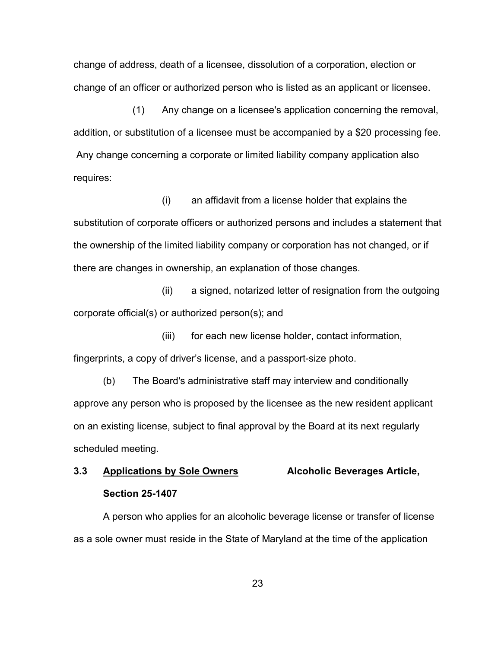change of address, death of a licensee, dissolution of a corporation, election or change of an officer or authorized person who is listed as an applicant or licensee.

(1) Any change on a licensee's application concerning the removal, addition, or substitution of a licensee must be accompanied by a \$20 processing fee. Any change concerning a corporate or limited liability company application also requires:

(i) an affidavit from a license holder that explains the substitution of corporate officers or authorized persons and includes a statement that the ownership of the limited liability company or corporation has not changed, or if there are changes in ownership, an explanation of those changes.

(ii) a signed, notarized letter of resignation from the outgoing corporate official(s) or authorized person(s); and

(iii) for each new license holder, contact information, fingerprints, a copy of driver's license, and a passport-size photo.

(b) The Board's administrative staff may interview and conditionally approve any person who is proposed by the licensee as the new resident applicant on an existing license, subject to final approval by the Board at its next regularly scheduled meeting.

## **3.3 Applications by Sole Owners Alcoholic Beverages Article, Section 25-1407**

A person who applies for an alcoholic beverage license or transfer of license as a sole owner must reside in the State of Maryland at the time of the application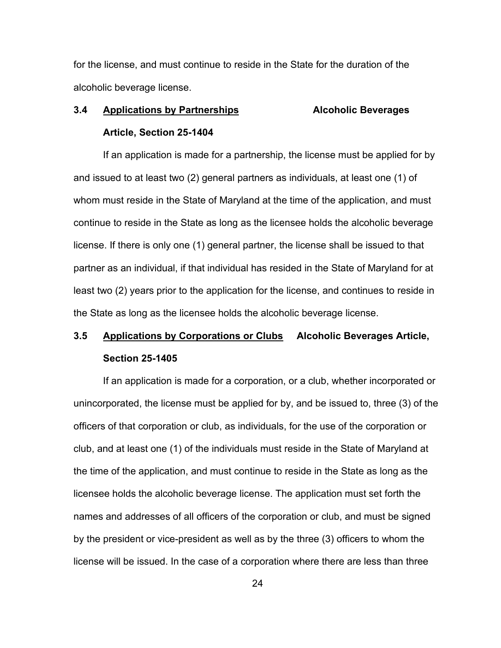for the license, and must continue to reside in the State for the duration of the alcoholic beverage license.

# **3.4 Applications by Partnerships Alcoholic Beverages Article, Section 25-1404**

If an application is made for a partnership, the license must be applied for by and issued to at least two (2) general partners as individuals, at least one (1) of whom must reside in the State of Maryland at the time of the application, and must continue to reside in the State as long as the licensee holds the alcoholic beverage license. If there is only one (1) general partner, the license shall be issued to that partner as an individual, if that individual has resided in the State of Maryland for at least two (2) years prior to the application for the license, and continues to reside in the State as long as the licensee holds the alcoholic beverage license.

## **3.5 Applications by Corporations or Clubs Alcoholic Beverages Article, Section 25-1405**

If an application is made for a corporation, or a club, whether incorporated or unincorporated, the license must be applied for by, and be issued to, three (3) of the officers of that corporation or club, as individuals, for the use of the corporation or club, and at least one (1) of the individuals must reside in the State of Maryland at the time of the application, and must continue to reside in the State as long as the licensee holds the alcoholic beverage license. The application must set forth the names and addresses of all officers of the corporation or club, and must be signed by the president or vice-president as well as by the three (3) officers to whom the license will be issued. In the case of a corporation where there are less than three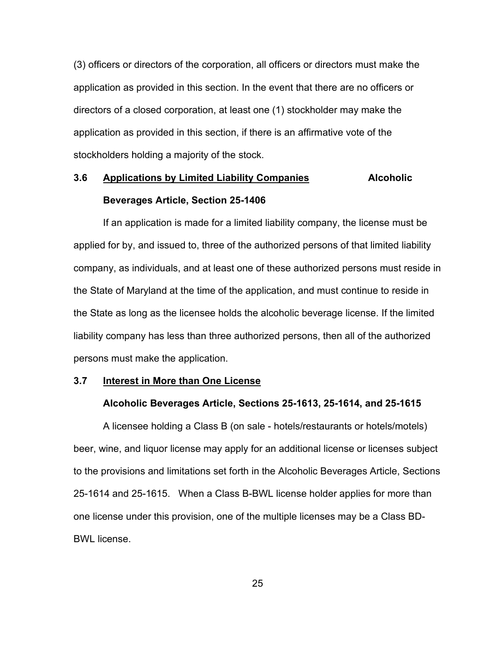(3) officers or directors of the corporation, all officers or directors must make the application as provided in this section. In the event that there are no officers or directors of a closed corporation, at least one (1) stockholder may make the application as provided in this section, if there is an affirmative vote of the stockholders holding a majority of the stock.

# **3.6 Applications by Limited Liability Companies Alcoholic Beverages Article, Section 25-1406**

If an application is made for a limited liability company, the license must be applied for by, and issued to, three of the authorized persons of that limited liability company, as individuals, and at least one of these authorized persons must reside in the State of Maryland at the time of the application, and must continue to reside in the State as long as the licensee holds the alcoholic beverage license. If the limited liability company has less than three authorized persons, then all of the authorized persons must make the application.

### **3.7 Interest in More than One License**

#### **Alcoholic Beverages Article, Sections 25-1613, 25-1614, and 25-1615**

A licensee holding a Class B (on sale - hotels/restaurants or hotels/motels) beer, wine, and liquor license may apply for an additional license or licenses subject to the provisions and limitations set forth in the Alcoholic Beverages Article, Sections 25-1614 and 25-1615. When a Class B-BWL license holder applies for more than one license under this provision, one of the multiple licenses may be a Class BD-BWL license.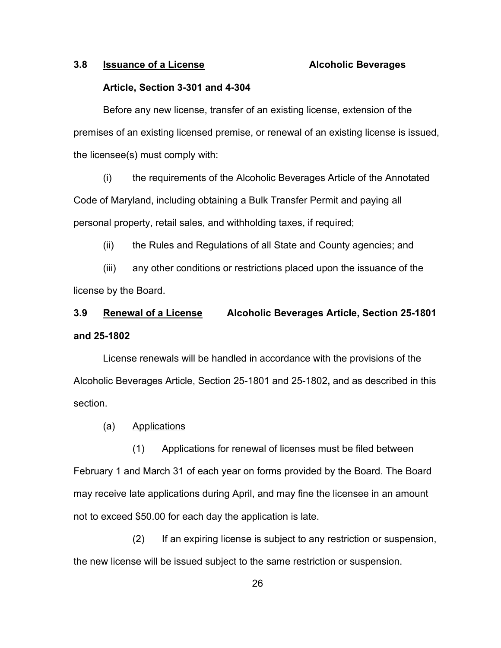## **3.8 Issuance of a License Alcoholic Beverages**

## **Article, Section 3-301 and 4-304**

Before any new license, transfer of an existing license, extension of the premises of an existing licensed premise, or renewal of an existing license is issued, the licensee(s) must comply with:

(i) the requirements of the Alcoholic Beverages Article of the Annotated Code of Maryland, including obtaining a Bulk Transfer Permit and paying all personal property, retail sales, and withholding taxes, if required;

(ii) the Rules and Regulations of all State and County agencies; and

(iii) any other conditions or restrictions placed upon the issuance of the license by the Board.

## **3.9 Renewal of a License Alcoholic Beverages Article, Section 25-1801 and 25-1802**

License renewals will be handled in accordance with the provisions of the Alcoholic Beverages Article, Section 25-1801 and 25-1802**,** and as described in this section.

## (a) Applications

(1) Applications for renewal of licenses must be filed between February 1 and March 31 of each year on forms provided by the Board. The Board may receive late applications during April, and may fine the licensee in an amount not to exceed \$50.00 for each day the application is late.

(2) If an expiring license is subject to any restriction or suspension, the new license will be issued subject to the same restriction or suspension.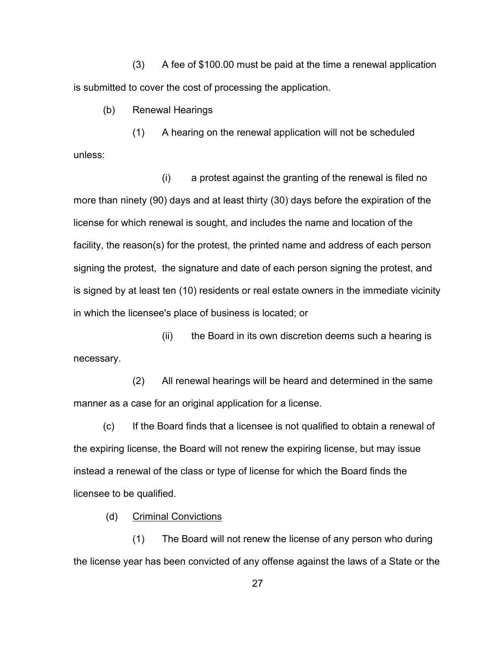(3) A fee of \$100.00 must be paid at the time a renewal application is submitted to cover the cost of processing the application.

(b) Renewal Hearings

(1) A hearing on the renewal application will not be scheduled unless:

(i) a protest against the granting of the renewal is filed no more than ninety (90) days and at least thirty (30) days before the expiration of the license for which renewal is sought, and includes the name and location of the facility, the reason(s) for the protest, the printed name and address of each person signing the protest, the signature and date of each person signing the protest, and is signed by at least ten (10) residents or real estate owners in the immediate vicinity in which the licensee's place of business is located; or

(ii) the Board in its own discretion deems such a hearing is necessary.

(2) All renewal hearings will be heard and determined in the same manner as a case for an original application for a license.

(c) If the Board finds that a licensee is not qualified to obtain a renewal of the expiring license, the Board will not renew the expiring license, but may issue instead a renewal of the class or type of license for which the Board finds the licensee to be qualified.

(d) Criminal Convictions

(1) The Board will not renew the license of any person who during the license year has been convicted of any offense against the laws of a State or the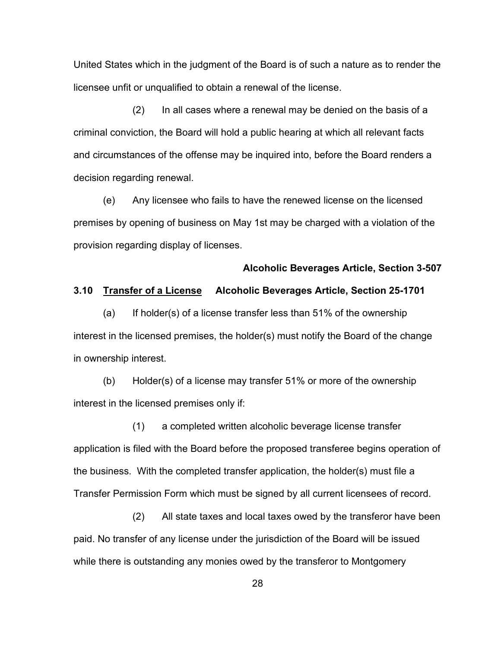United States which in the judgment of the Board is of such a nature as to render the licensee unfit or unqualified to obtain a renewal of the license.

(2) In all cases where a renewal may be denied on the basis of a criminal conviction, the Board will hold a public hearing at which all relevant facts and circumstances of the offense may be inquired into, before the Board renders a decision regarding renewal.

(e) Any licensee who fails to have the renewed license on the licensed premises by opening of business on May 1st may be charged with a violation of the provision regarding display of licenses.

## **Alcoholic Beverages Article, Section 3-507**

## **3.10 Transfer of a License Alcoholic Beverages Article, Section 25-1701**

 $(a)$  If holder(s) of a license transfer less than 51% of the ownership interest in the licensed premises, the holder(s) must notify the Board of the change in ownership interest.

(b) Holder(s) of a license may transfer 51% or more of the ownership interest in the licensed premises only if:

(1) a completed written alcoholic beverage license transfer application is filed with the Board before the proposed transferee begins operation of the business. With the completed transfer application, the holder(s) must file a Transfer Permission Form which must be signed by all current licensees of record.

(2) All state taxes and local taxes owed by the transferor have been paid. No transfer of any license under the jurisdiction of the Board will be issued while there is outstanding any monies owed by the transferor to Montgomery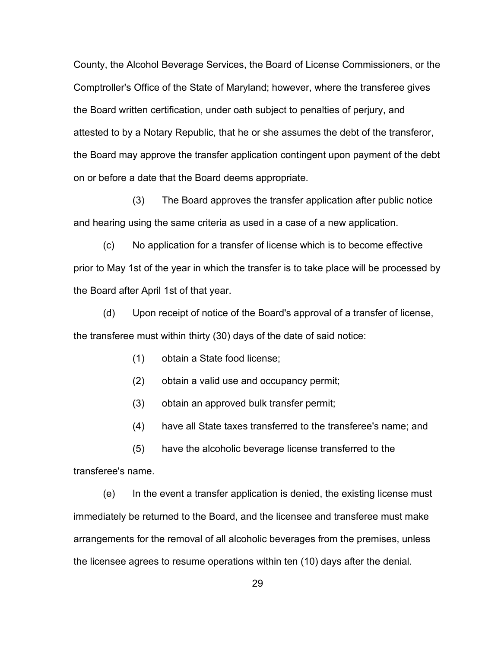County, the Alcohol Beverage Services, the Board of License Commissioners, or the Comptroller's Office of the State of Maryland; however, where the transferee gives the Board written certification, under oath subject to penalties of perjury, and attested to by a Notary Republic, that he or she assumes the debt of the transferor, the Board may approve the transfer application contingent upon payment of the debt on or before a date that the Board deems appropriate.

(3) The Board approves the transfer application after public notice and hearing using the same criteria as used in a case of a new application.

(c) No application for a transfer of license which is to become effective prior to May 1st of the year in which the transfer is to take place will be processed by the Board after April 1st of that year.

(d) Upon receipt of notice of the Board's approval of a transfer of license, the transferee must within thirty (30) days of the date of said notice:

- (1) obtain a State food license;
- (2) obtain a valid use and occupancy permit;
- (3) obtain an approved bulk transfer permit;
- (4) have all State taxes transferred to the transferee's name; and

(5) have the alcoholic beverage license transferred to the

transferee's name.

(e) In the event a transfer application is denied, the existing license must immediately be returned to the Board, and the licensee and transferee must make arrangements for the removal of all alcoholic beverages from the premises, unless the licensee agrees to resume operations within ten (10) days after the denial.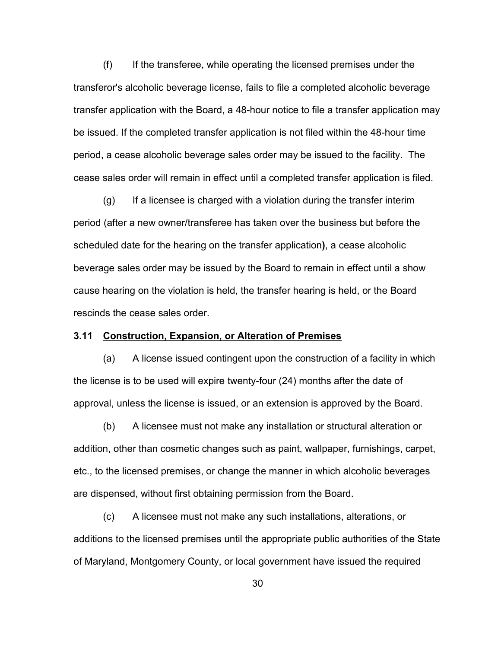(f) If the transferee, while operating the licensed premises under the transferor's alcoholic beverage license, fails to file a completed alcoholic beverage transfer application with the Board, a 48-hour notice to file a transfer application may be issued. If the completed transfer application is not filed within the 48-hour time period, a cease alcoholic beverage sales order may be issued to the facility. The cease sales order will remain in effect until a completed transfer application is filed.

 $(q)$  If a licensee is charged with a violation during the transfer interim period (after a new owner/transferee has taken over the business but before the scheduled date for the hearing on the transfer application**)**, a cease alcoholic beverage sales order may be issued by the Board to remain in effect until a show cause hearing on the violation is held, the transfer hearing is held, or the Board rescinds the cease sales order.

# **3.11 Construction, Expansion, or Alteration of Premises**

(a) A license issued contingent upon the construction of a facility in which the license is to be used will expire twenty-four (24) months after the date of approval, unless the license is issued, or an extension is approved by the Board.

(b) A licensee must not make any installation or structural alteration or addition, other than cosmetic changes such as paint, wallpaper, furnishings, carpet, etc., to the licensed premises, or change the manner in which alcoholic beverages are dispensed, without first obtaining permission from the Board.

(c) A licensee must not make any such installations, alterations, or additions to the licensed premises until the appropriate public authorities of the State of Maryland, Montgomery County, or local government have issued the required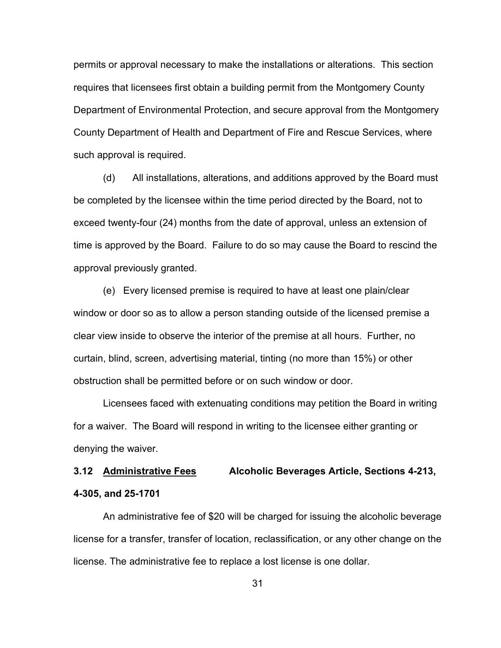permits or approval necessary to make the installations or alterations. This section requires that licensees first obtain a building permit from the Montgomery County Department of Environmental Protection, and secure approval from the Montgomery County Department of Health and Department of Fire and Rescue Services, where such approval is required.

(d) All installations, alterations, and additions approved by the Board must be completed by the licensee within the time period directed by the Board, not to exceed twenty-four (24) months from the date of approval, unless an extension of time is approved by the Board. Failure to do so may cause the Board to rescind the approval previously granted.

(e) Every licensed premise is required to have at least one plain/clear window or door so as to allow a person standing outside of the licensed premise a clear view inside to observe the interior of the premise at all hours. Further, no curtain, blind, screen, advertising material, tinting (no more than 15%) or other obstruction shall be permitted before or on such window or door.

Licensees faced with extenuating conditions may petition the Board in writing for a waiver. The Board will respond in writing to the licensee either granting or denying the waiver.

# **3.12 Administrative Fees Alcoholic Beverages Article, Sections 4-213, 4-305, and 25-1701**

An administrative fee of \$20 will be charged for issuing the alcoholic beverage license for a transfer, transfer of location, reclassification, or any other change on the license. The administrative fee to replace a lost license is one dollar.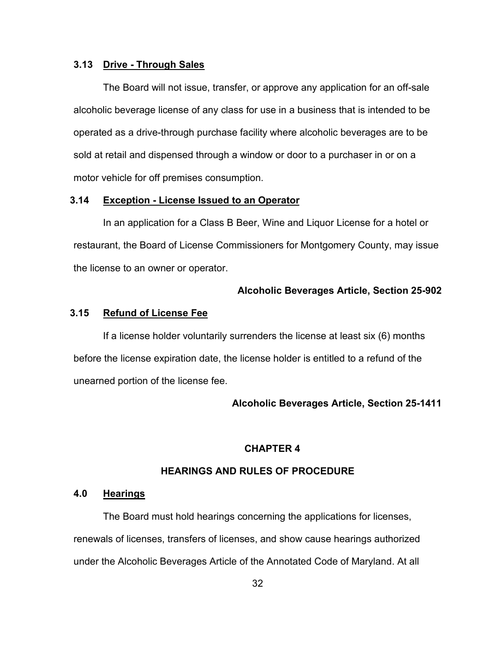#### **3.13 Drive - Through Sales**

The Board will not issue, transfer, or approve any application for an off-sale alcoholic beverage license of any class for use in a business that is intended to be operated as a drive-through purchase facility where alcoholic beverages are to be sold at retail and dispensed through a window or door to a purchaser in or on a motor vehicle for off premises consumption.

#### **3.14 Exception - License Issued to an Operator**

In an application for a Class B Beer, Wine and Liquor License for a hotel or restaurant, the Board of License Commissioners for Montgomery County, may issue the license to an owner or operator.

#### **Alcoholic Beverages Article, Section 25-902**

#### **3.15 Refund of License Fee**

If a license holder voluntarily surrenders the license at least six (6) months before the license expiration date, the license holder is entitled to a refund of the unearned portion of the license fee.

#### **Alcoholic Beverages Article, Section 25-1411**

# **CHAPTER 4**

# **HEARINGS AND RULES OF PROCEDURE**

### **4.0 Hearings**

The Board must hold hearings concerning the applications for licenses, renewals of licenses, transfers of licenses, and show cause hearings authorized under the Alcoholic Beverages Article of the Annotated Code of Maryland. At all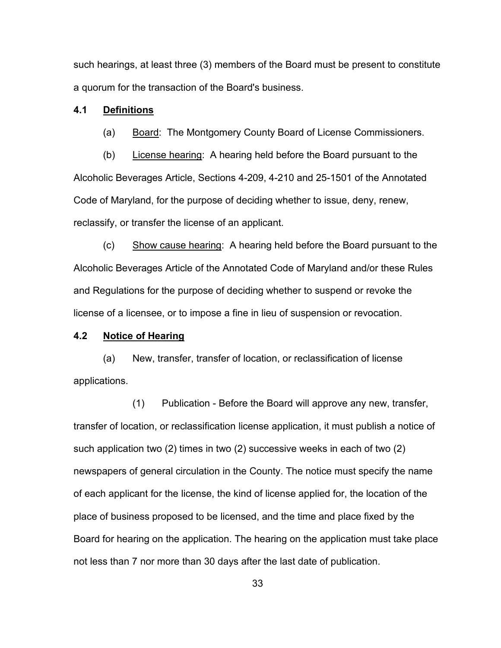such hearings, at least three (3) members of the Board must be present to constitute a quorum for the transaction of the Board's business.

#### **4.1 Definitions**

(a) Board: The Montgomery County Board of License Commissioners.

(b) License hearing: A hearing held before the Board pursuant to the Alcoholic Beverages Article, Sections 4-209, 4-210 and 25-1501 of the Annotated Code of Maryland, for the purpose of deciding whether to issue, deny, renew, reclassify, or transfer the license of an applicant.

(c) Show cause hearing: A hearing held before the Board pursuant to the Alcoholic Beverages Article of the Annotated Code of Maryland and/or these Rules and Regulations for the purpose of deciding whether to suspend or revoke the license of a licensee, or to impose a fine in lieu of suspension or revocation.

# **4.2 Notice of Hearing**

(a) New, transfer, transfer of location, or reclassification of license applications.

(1) Publication - Before the Board will approve any new, transfer, transfer of location, or reclassification license application, it must publish a notice of such application two (2) times in two (2) successive weeks in each of two (2) newspapers of general circulation in the County. The notice must specify the name of each applicant for the license, the kind of license applied for, the location of the place of business proposed to be licensed, and the time and place fixed by the Board for hearing on the application. The hearing on the application must take place not less than 7 nor more than 30 days after the last date of publication.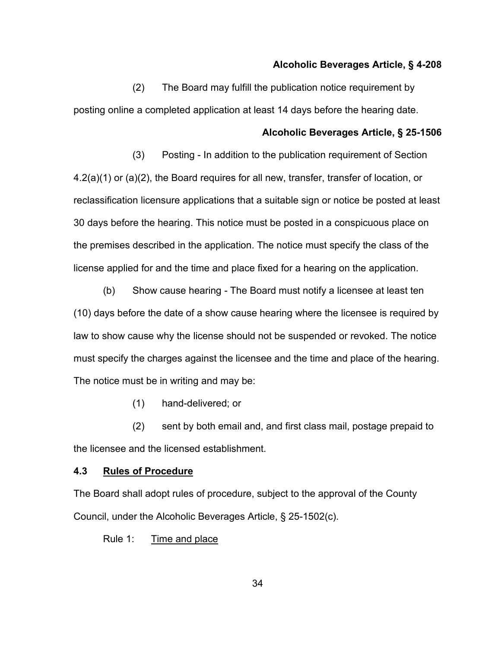#### **Alcoholic Beverages Article, § 4-208**

(2) The Board may fulfill the publication notice requirement by posting online a completed application at least 14 days before the hearing date.

# **Alcoholic Beverages Article, § 25-1506**

(3) Posting - In addition to the publication requirement of Section 4.2(a)(1) or (a)(2), the Board requires for all new, transfer, transfer of location, or reclassification licensure applications that a suitable sign or notice be posted at least 30 days before the hearing. This notice must be posted in a conspicuous place on the premises described in the application. The notice must specify the class of the license applied for and the time and place fixed for a hearing on the application.

(b) Show cause hearing - The Board must notify a licensee at least ten (10) days before the date of a show cause hearing where the licensee is required by law to show cause why the license should not be suspended or revoked. The notice must specify the charges against the licensee and the time and place of the hearing. The notice must be in writing and may be:

(1) hand-delivered; or

(2) sent by both email and, and first class mail, postage prepaid to the licensee and the licensed establishment.

# **4.3 Rules of Procedure**

The Board shall adopt rules of procedure, subject to the approval of the County Council, under the Alcoholic Beverages Article, § 25-1502(c).

Rule 1: Time and place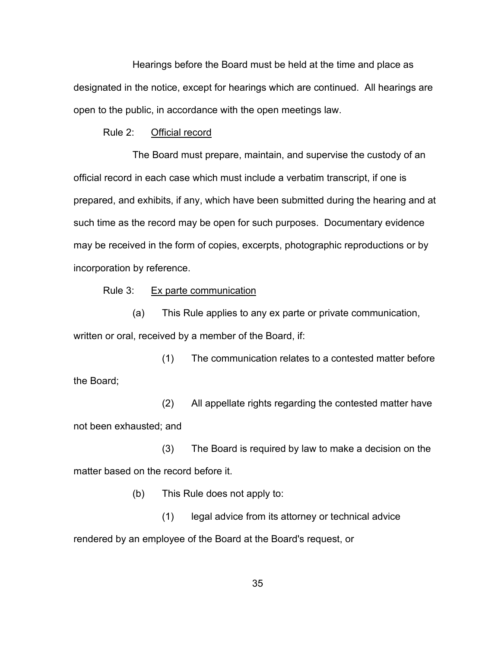Hearings before the Board must be held at the time and place as designated in the notice, except for hearings which are continued. All hearings are open to the public, in accordance with the open meetings law.

# Rule 2: Official record

The Board must prepare, maintain, and supervise the custody of an official record in each case which must include a verbatim transcript, if one is prepared, and exhibits, if any, which have been submitted during the hearing and at such time as the record may be open for such purposes. Documentary evidence may be received in the form of copies, excerpts, photographic reproductions or by incorporation by reference.

#### Rule 3: Ex parte communication

(a) This Rule applies to any ex parte or private communication, written or oral, received by a member of the Board, if:

(1) The communication relates to a contested matter before the Board;

(2) All appellate rights regarding the contested matter have not been exhausted; and

(3) The Board is required by law to make a decision on the matter based on the record before it.

(b) This Rule does not apply to:

(1) legal advice from its attorney or technical advice rendered by an employee of the Board at the Board's request, or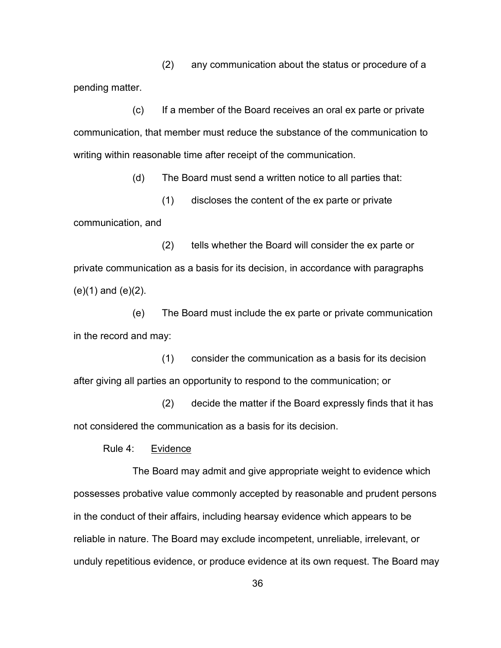(2) any communication about the status or procedure of a pending matter.

(c) If a member of the Board receives an oral ex parte or private communication, that member must reduce the substance of the communication to writing within reasonable time after receipt of the communication.

(d) The Board must send a written notice to all parties that:

(1) discloses the content of the ex parte or private communication, and

(2) tells whether the Board will consider the ex parte or private communication as a basis for its decision, in accordance with paragraphs (e)(1) and (e)(2).

(e) The Board must include the ex parte or private communication in the record and may:

(1) consider the communication as a basis for its decision after giving all parties an opportunity to respond to the communication; or

(2) decide the matter if the Board expressly finds that it has not considered the communication as a basis for its decision.

Rule 4: Evidence

The Board may admit and give appropriate weight to evidence which possesses probative value commonly accepted by reasonable and prudent persons in the conduct of their affairs, including hearsay evidence which appears to be reliable in nature. The Board may exclude incompetent, unreliable, irrelevant, or unduly repetitious evidence, or produce evidence at its own request. The Board may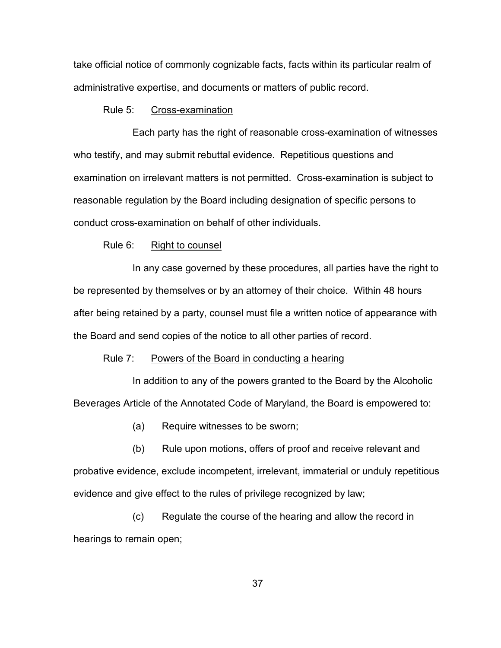take official notice of commonly cognizable facts, facts within its particular realm of administrative expertise, and documents or matters of public record.

#### Rule 5: Cross-examination

Each party has the right of reasonable cross-examination of witnesses who testify, and may submit rebuttal evidence. Repetitious questions and examination on irrelevant matters is not permitted. Cross-examination is subject to reasonable regulation by the Board including designation of specific persons to conduct cross-examination on behalf of other individuals.

### Rule 6: Right to counsel

In any case governed by these procedures, all parties have the right to be represented by themselves or by an attorney of their choice. Within 48 hours after being retained by a party, counsel must file a written notice of appearance with the Board and send copies of the notice to all other parties of record.

#### Rule 7: Powers of the Board in conducting a hearing

In addition to any of the powers granted to the Board by the Alcoholic Beverages Article of the Annotated Code of Maryland, the Board is empowered to:

(a) Require witnesses to be sworn;

(b) Rule upon motions, offers of proof and receive relevant and probative evidence, exclude incompetent, irrelevant, immaterial or unduly repetitious evidence and give effect to the rules of privilege recognized by law;

(c) Regulate the course of the hearing and allow the record in hearings to remain open;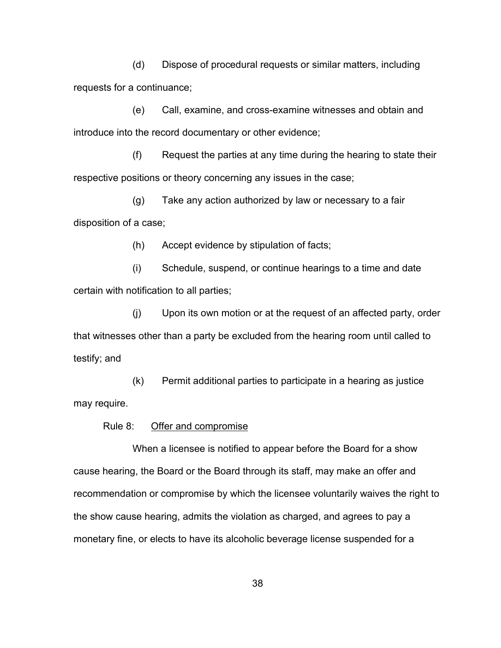(d) Dispose of procedural requests or similar matters, including requests for a continuance;

(e) Call, examine, and cross-examine witnesses and obtain and introduce into the record documentary or other evidence;

(f) Request the parties at any time during the hearing to state their respective positions or theory concerning any issues in the case;

(g) Take any action authorized by law or necessary to a fair disposition of a case;

(h) Accept evidence by stipulation of facts;

(i) Schedule, suspend, or continue hearings to a time and date certain with notification to all parties;

(j) Upon its own motion or at the request of an affected party, order that witnesses other than a party be excluded from the hearing room until called to testify; and

(k) Permit additional parties to participate in a hearing as justice may require.

### Rule 8: Offer and compromise

When a licensee is notified to appear before the Board for a show cause hearing, the Board or the Board through its staff, may make an offer and recommendation or compromise by which the licensee voluntarily waives the right to the show cause hearing, admits the violation as charged, and agrees to pay a monetary fine, or elects to have its alcoholic beverage license suspended for a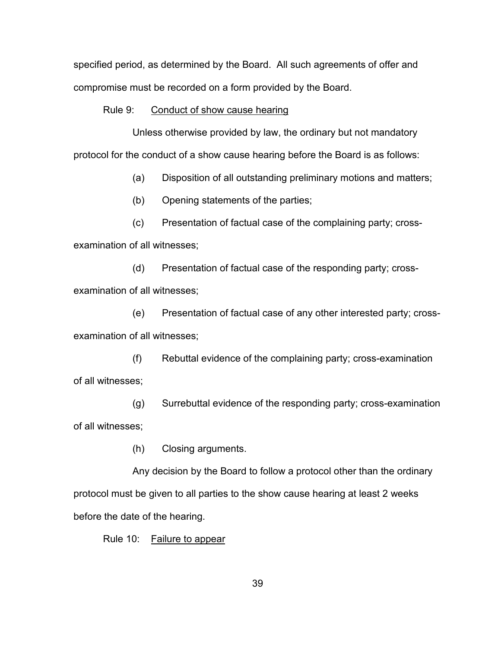specified period, as determined by the Board. All such agreements of offer and compromise must be recorded on a form provided by the Board.

### Rule 9: Conduct of show cause hearing

Unless otherwise provided by law, the ordinary but not mandatory protocol for the conduct of a show cause hearing before the Board is as follows:

(a) Disposition of all outstanding preliminary motions and matters;

(b) Opening statements of the parties;

(c) Presentation of factual case of the complaining party; crossexamination of all witnesses;

(d) Presentation of factual case of the responding party; crossexamination of all witnesses;

(e) Presentation of factual case of any other interested party; crossexamination of all witnesses;

(f) Rebuttal evidence of the complaining party; cross-examination of all witnesses;

(g) Surrebuttal evidence of the responding party; cross-examination of all witnesses;

(h) Closing arguments.

Any decision by the Board to follow a protocol other than the ordinary protocol must be given to all parties to the show cause hearing at least 2 weeks before the date of the hearing.

Rule 10: Failure to appear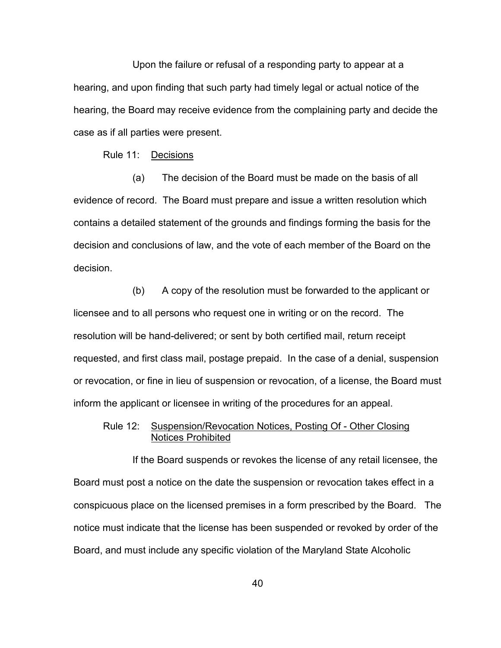Upon the failure or refusal of a responding party to appear at a hearing, and upon finding that such party had timely legal or actual notice of the hearing, the Board may receive evidence from the complaining party and decide the case as if all parties were present.

# Rule 11: Decisions

(a) The decision of the Board must be made on the basis of all evidence of record. The Board must prepare and issue a written resolution which contains a detailed statement of the grounds and findings forming the basis for the decision and conclusions of law, and the vote of each member of the Board on the decision.

(b) A copy of the resolution must be forwarded to the applicant or licensee and to all persons who request one in writing or on the record. The resolution will be hand-delivered; or sent by both certified mail, return receipt requested, and first class mail, postage prepaid. In the case of a denial, suspension or revocation, or fine in lieu of suspension or revocation, of a license, the Board must inform the applicant or licensee in writing of the procedures for an appeal.

# Rule 12: Suspension/Revocation Notices, Posting Of - Other Closing Notices Prohibited

If the Board suspends or revokes the license of any retail licensee, the Board must post a notice on the date the suspension or revocation takes effect in a conspicuous place on the licensed premises in a form prescribed by the Board. The notice must indicate that the license has been suspended or revoked by order of the Board, and must include any specific violation of the Maryland State Alcoholic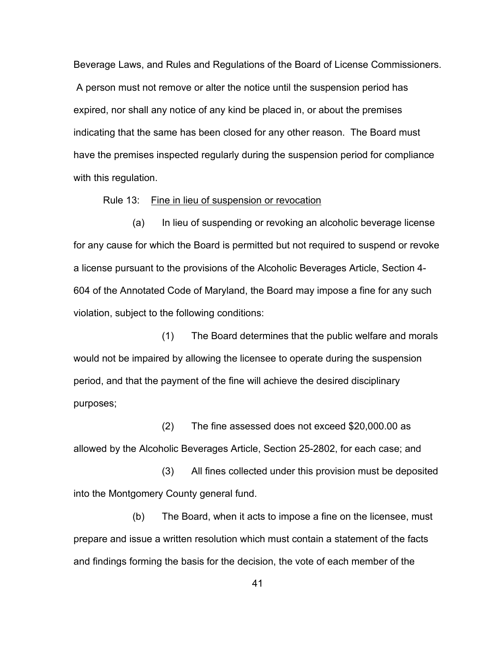Beverage Laws, and Rules and Regulations of the Board of License Commissioners. A person must not remove or alter the notice until the suspension period has expired, nor shall any notice of any kind be placed in, or about the premises indicating that the same has been closed for any other reason. The Board must have the premises inspected regularly during the suspension period for compliance with this regulation.

Rule 13: Fine in lieu of suspension or revocation

(a) In lieu of suspending or revoking an alcoholic beverage license for any cause for which the Board is permitted but not required to suspend or revoke a license pursuant to the provisions of the Alcoholic Beverages Article, Section 4- 604 of the Annotated Code of Maryland, the Board may impose a fine for any such violation, subject to the following conditions:

(1) The Board determines that the public welfare and morals would not be impaired by allowing the licensee to operate during the suspension period, and that the payment of the fine will achieve the desired disciplinary purposes;

(2) The fine assessed does not exceed \$20,000.00 as allowed by the Alcoholic Beverages Article, Section 25-2802, for each case; and

(3) All fines collected under this provision must be deposited into the Montgomery County general fund.

(b) The Board, when it acts to impose a fine on the licensee, must prepare and issue a written resolution which must contain a statement of the facts and findings forming the basis for the decision, the vote of each member of the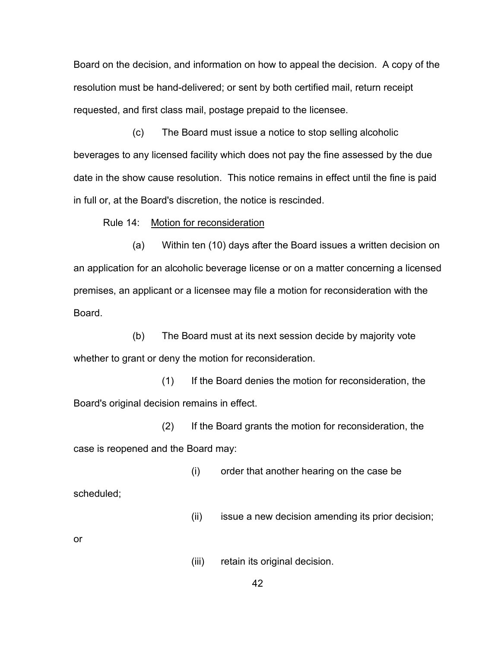Board on the decision, and information on how to appeal the decision. A copy of the resolution must be hand-delivered; or sent by both certified mail, return receipt requested, and first class mail, postage prepaid to the licensee.

(c) The Board must issue a notice to stop selling alcoholic beverages to any licensed facility which does not pay the fine assessed by the due date in the show cause resolution. This notice remains in effect until the fine is paid in full or, at the Board's discretion, the notice is rescinded.

Rule 14: Motion for reconsideration

(a) Within ten (10) days after the Board issues a written decision on an application for an alcoholic beverage license or on a matter concerning a licensed premises, an applicant or a licensee may file a motion for reconsideration with the Board.

(b) The Board must at its next session decide by majority vote whether to grant or deny the motion for reconsideration.

(1) If the Board denies the motion for reconsideration, the Board's original decision remains in effect.

(2) If the Board grants the motion for reconsideration, the case is reopened and the Board may:

(i) order that another hearing on the case be

scheduled;

(ii) issue a new decision amending its prior decision;

or

(iii) retain its original decision.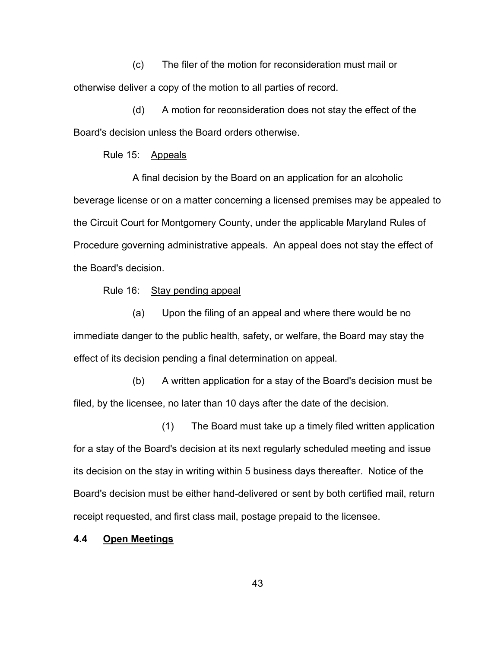(c) The filer of the motion for reconsideration must mail or otherwise deliver a copy of the motion to all parties of record.

(d) A motion for reconsideration does not stay the effect of the Board's decision unless the Board orders otherwise.

Rule 15: Appeals

A final decision by the Board on an application for an alcoholic beverage license or on a matter concerning a licensed premises may be appealed to the Circuit Court for Montgomery County, under the applicable Maryland Rules of Procedure governing administrative appeals. An appeal does not stay the effect of the Board's decision.

Rule 16: Stay pending appeal

(a) Upon the filing of an appeal and where there would be no immediate danger to the public health, safety, or welfare, the Board may stay the effect of its decision pending a final determination on appeal.

(b) A written application for a stay of the Board's decision must be filed, by the licensee, no later than 10 days after the date of the decision.

(1) The Board must take up a timely filed written application for a stay of the Board's decision at its next regularly scheduled meeting and issue its decision on the stay in writing within 5 business days thereafter. Notice of the Board's decision must be either hand-delivered or sent by both certified mail, return receipt requested, and first class mail, postage prepaid to the licensee.

# **4.4 Open Meetings**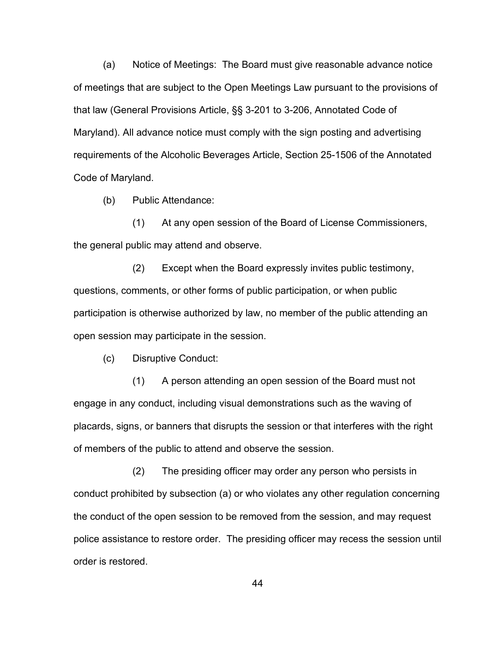(a) Notice of Meetings: The Board must give reasonable advance notice of meetings that are subject to the Open Meetings Law pursuant to the provisions of that law (General Provisions Article, §§ 3-201 to 3-206, Annotated Code of Maryland). All advance notice must comply with the sign posting and advertising requirements of the Alcoholic Beverages Article, Section 25-1506 of the Annotated Code of Maryland.

(b) Public Attendance:

(1) At any open session of the Board of License Commissioners, the general public may attend and observe.

(2) Except when the Board expressly invites public testimony, questions, comments, or other forms of public participation, or when public participation is otherwise authorized by law, no member of the public attending an open session may participate in the session.

(c) Disruptive Conduct:

(1) A person attending an open session of the Board must not engage in any conduct, including visual demonstrations such as the waving of placards, signs, or banners that disrupts the session or that interferes with the right of members of the public to attend and observe the session.

(2) The presiding officer may order any person who persists in conduct prohibited by subsection (a) or who violates any other regulation concerning the conduct of the open session to be removed from the session, and may request police assistance to restore order. The presiding officer may recess the session until order is restored.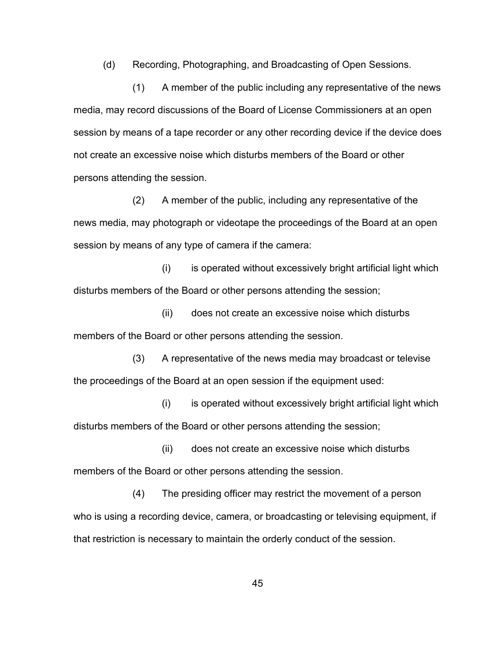(d) Recording, Photographing, and Broadcasting of Open Sessions.

(1) A member of the public including any representative of the news media, may record discussions of the Board of License Commissioners at an open session by means of a tape recorder or any other recording device if the device does not create an excessive noise which disturbs members of the Board or other persons attending the session.

(2) A member of the public, including any representative of the news media, may photograph or videotape the proceedings of the Board at an open session by means of any type of camera if the camera:

 $(i)$  is operated without excessively bright artificial light which disturbs members of the Board or other persons attending the session;

(ii) does not create an excessive noise which disturbs members of the Board or other persons attending the session.

(3) A representative of the news media may broadcast or televise the proceedings of the Board at an open session if the equipment used:

(i) is operated without excessively bright artificial light which disturbs members of the Board or other persons attending the session;

(ii) does not create an excessive noise which disturbs members of the Board or other persons attending the session.

(4) The presiding officer may restrict the movement of a person who is using a recording device, camera, or broadcasting or televising equipment, if that restriction is necessary to maintain the orderly conduct of the session.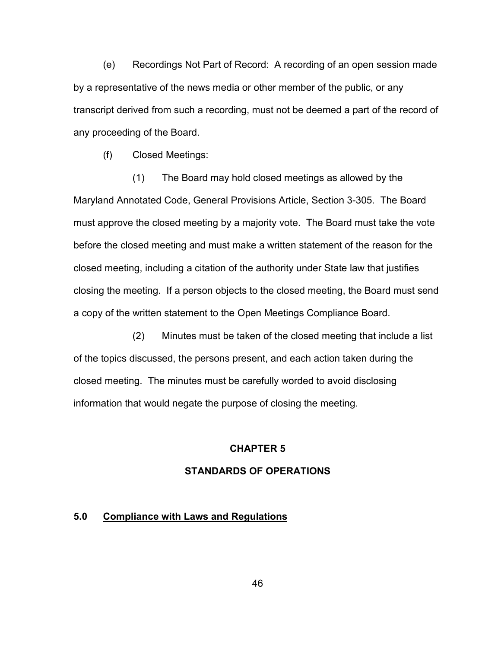(e) Recordings Not Part of Record: A recording of an open session made by a representative of the news media or other member of the public, or any transcript derived from such a recording, must not be deemed a part of the record of any proceeding of the Board.

(f) Closed Meetings:

(1) The Board may hold closed meetings as allowed by the Maryland Annotated Code, General Provisions Article, Section 3-305. The Board must approve the closed meeting by a majority vote. The Board must take the vote before the closed meeting and must make a written statement of the reason for the closed meeting, including a citation of the authority under State law that justifies closing the meeting. If a person objects to the closed meeting, the Board must send a copy of the written statement to the Open Meetings Compliance Board.

(2) Minutes must be taken of the closed meeting that include a list of the topics discussed, the persons present, and each action taken during the closed meeting. The minutes must be carefully worded to avoid disclosing information that would negate the purpose of closing the meeting.

# **CHAPTER 5**

# **STANDARDS OF OPERATIONS**

#### **5.0 Compliance with Laws and Regulations**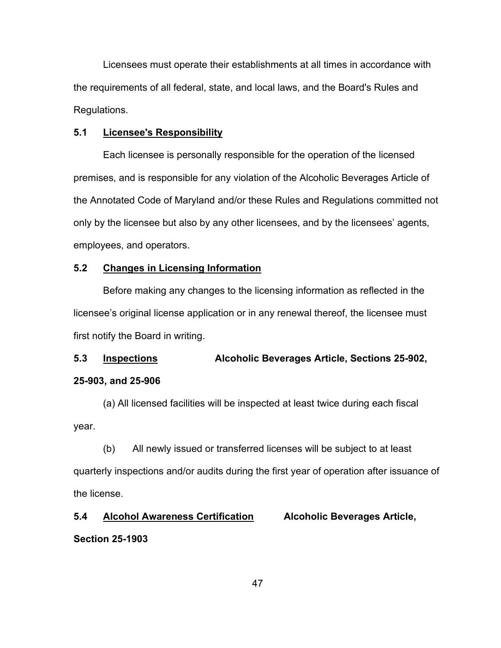Licensees must operate their establishments at all times in accordance with the requirements of all federal, state, and local laws, and the Board's Rules and Regulations.

# **5.1 Licensee's Responsibility**

Each licensee is personally responsible for the operation of the licensed premises, and is responsible for any violation of the Alcoholic Beverages Article of the Annotated Code of Maryland and/or these Rules and Regulations committed not only by the licensee but also by any other licensees, and by the licensees' agents, employees, and operators.

# **5.2 Changes in Licensing Information**

Before making any changes to the licensing information as reflected in the licensee's original license application or in any renewal thereof, the licensee must first notify the Board in writing.

# **5.3 Inspections Alcoholic Beverages Article, Sections 25-902, 25-903, and 25-906**

(a) All licensed facilities will be inspected at least twice during each fiscal year.

(b) All newly issued or transferred licenses will be subject to at least quarterly inspections and/or audits during the first year of operation after issuance of the license.

# **5.4 Alcohol Awareness Certification Alcoholic Beverages Article,**

# **Section 25-1903**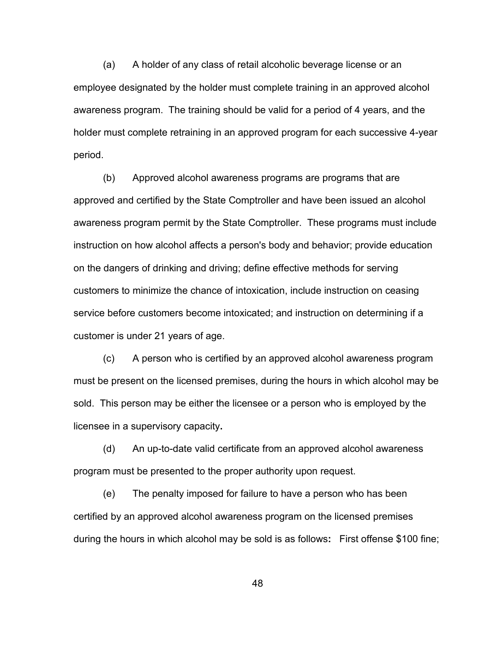(a) A holder of any class of retail alcoholic beverage license or an employee designated by the holder must complete training in an approved alcohol awareness program. The training should be valid for a period of 4 years, and the holder must complete retraining in an approved program for each successive 4-year period.

(b) Approved alcohol awareness programs are programs that are approved and certified by the State Comptroller and have been issued an alcohol awareness program permit by the State Comptroller. These programs must include instruction on how alcohol affects a person's body and behavior; provide education on the dangers of drinking and driving; define effective methods for serving customers to minimize the chance of intoxication, include instruction on ceasing service before customers become intoxicated; and instruction on determining if a customer is under 21 years of age.

(c) A person who is certified by an approved alcohol awareness program must be present on the licensed premises, during the hours in which alcohol may be sold. This person may be either the licensee or a person who is employed by the licensee in a supervisory capacity**.**

(d) An up-to-date valid certificate from an approved alcohol awareness program must be presented to the proper authority upon request.

(e) The penalty imposed for failure to have a person who has been certified by an approved alcohol awareness program on the licensed premises during the hours in which alcohol may be sold is as follows**:** First offense \$100 fine;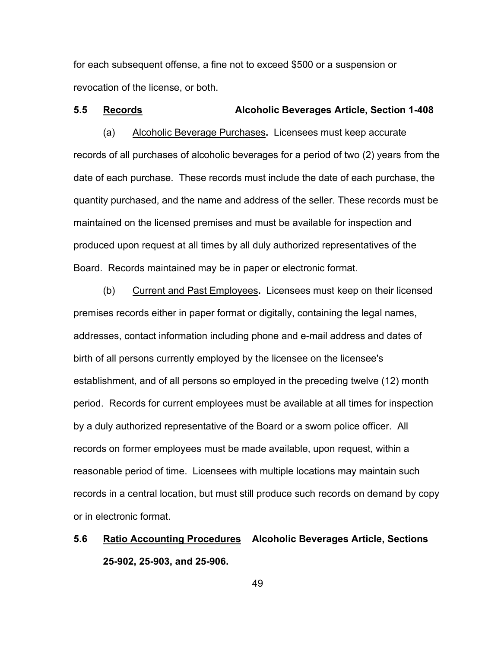for each subsequent offense, a fine not to exceed \$500 or a suspension or revocation of the license, or both.

# **5.5 Records Alcoholic Beverages Article, Section 1-408**

(a) Alcoholic Beverage Purchases**.** Licensees must keep accurate records of all purchases of alcoholic beverages for a period of two (2) years from the date of each purchase. These records must include the date of each purchase, the quantity purchased, and the name and address of the seller. These records must be maintained on the licensed premises and must be available for inspection and produced upon request at all times by all duly authorized representatives of the Board. Records maintained may be in paper or electronic format.

(b) Current and Past Employees**.** Licensees must keep on their licensed premises records either in paper format or digitally, containing the legal names, addresses, contact information including phone and e-mail address and dates of birth of all persons currently employed by the licensee on the licensee's establishment, and of all persons so employed in the preceding twelve (12) month period. Records for current employees must be available at all times for inspection by a duly authorized representative of the Board or a sworn police officer. All records on former employees must be made available, upon request, within a reasonable period of time. Licensees with multiple locations may maintain such records in a central location, but must still produce such records on demand by copy or in electronic format.

# **5.6 Ratio Accounting Procedures Alcoholic Beverages Article, Sections 25-902, 25-903, and 25-906.**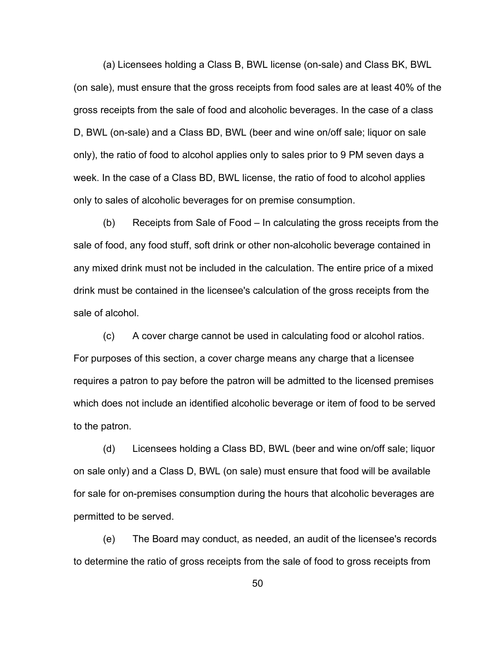(a) Licensees holding a Class B, BWL license (on-sale) and Class BK, BWL (on sale), must ensure that the gross receipts from food sales are at least 40% of the gross receipts from the sale of food and alcoholic beverages. In the case of a class D, BWL (on-sale) and a Class BD, BWL (beer and wine on/off sale; liquor on sale only), the ratio of food to alcohol applies only to sales prior to 9 PM seven days a week. In the case of a Class BD, BWL license, the ratio of food to alcohol applies only to sales of alcoholic beverages for on premise consumption.

(b) Receipts from Sale of Food – In calculating the gross receipts from the sale of food, any food stuff, soft drink or other non-alcoholic beverage contained in any mixed drink must not be included in the calculation. The entire price of a mixed drink must be contained in the licensee's calculation of the gross receipts from the sale of alcohol.

(c) A cover charge cannot be used in calculating food or alcohol ratios. For purposes of this section, a cover charge means any charge that a licensee requires a patron to pay before the patron will be admitted to the licensed premises which does not include an identified alcoholic beverage or item of food to be served to the patron.

(d) Licensees holding a Class BD, BWL (beer and wine on/off sale; liquor on sale only) and a Class D, BWL (on sale) must ensure that food will be available for sale for on-premises consumption during the hours that alcoholic beverages are permitted to be served.

(e) The Board may conduct, as needed, an audit of the licensee's records to determine the ratio of gross receipts from the sale of food to gross receipts from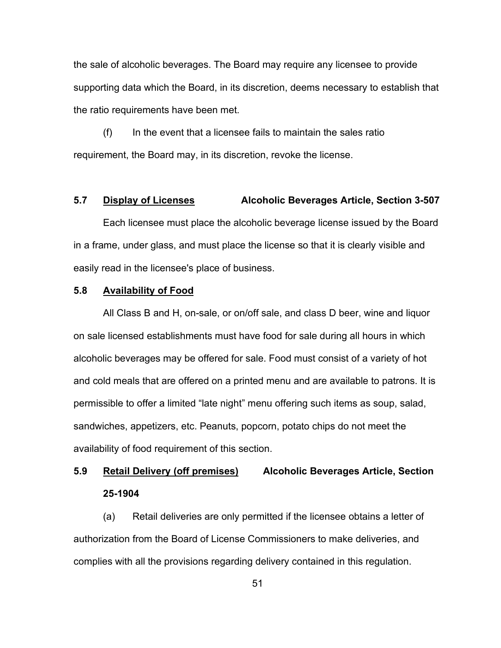the sale of alcoholic beverages. The Board may require any licensee to provide supporting data which the Board, in its discretion, deems necessary to establish that the ratio requirements have been met.

 $(f)$  In the event that a licensee fails to maintain the sales ratio requirement, the Board may, in its discretion, revoke the license.

### **5.7 Display of Licenses Alcoholic Beverages Article, Section 3-507**

Each licensee must place the alcoholic beverage license issued by the Board in a frame, under glass, and must place the license so that it is clearly visible and easily read in the licensee's place of business.

#### **5.8 Availability of Food**

All Class B and H, on-sale, or on/off sale, and class D beer, wine and liquor on sale licensed establishments must have food for sale during all hours in which alcoholic beverages may be offered for sale. Food must consist of a variety of hot and cold meals that are offered on a printed menu and are available to patrons. It is permissible to offer a limited "late night" menu offering such items as soup, salad, sandwiches, appetizers, etc. Peanuts, popcorn, potato chips do not meet the availability of food requirement of this section.

# **5.9 Retail Delivery (off premises) Alcoholic Beverages Article, Section 25-1904**

(a) Retail deliveries are only permitted if the licensee obtains a letter of authorization from the Board of License Commissioners to make deliveries, and complies with all the provisions regarding delivery contained in this regulation.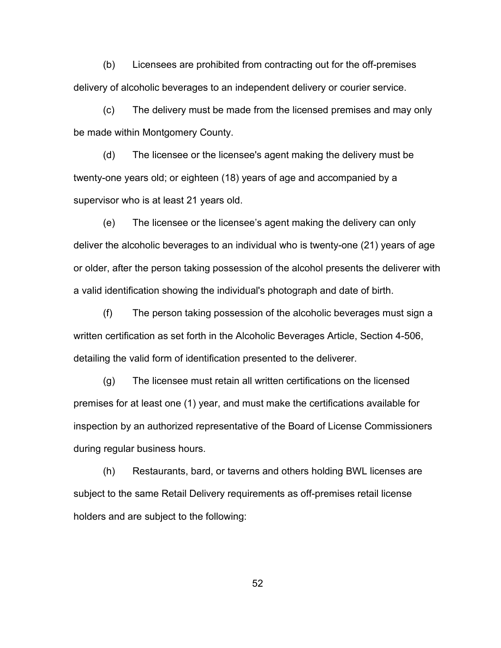(b) Licensees are prohibited from contracting out for the off-premises delivery of alcoholic beverages to an independent delivery or courier service.

(c) The delivery must be made from the licensed premises and may only be made within Montgomery County.

(d) The licensee or the licensee's agent making the delivery must be twenty-one years old; or eighteen (18) years of age and accompanied by a supervisor who is at least 21 years old.

(e) The licensee or the licensee's agent making the delivery can only deliver the alcoholic beverages to an individual who is twenty-one (21) years of age or older, after the person taking possession of the alcohol presents the deliverer with a valid identification showing the individual's photograph and date of birth.

(f) The person taking possession of the alcoholic beverages must sign a written certification as set forth in the Alcoholic Beverages Article, Section 4-506, detailing the valid form of identification presented to the deliverer.

(g) The licensee must retain all written certifications on the licensed premises for at least one (1) year, and must make the certifications available for inspection by an authorized representative of the Board of License Commissioners during regular business hours.

(h) Restaurants, bard, or taverns and others holding BWL licenses are subject to the same Retail Delivery requirements as off-premises retail license holders and are subject to the following: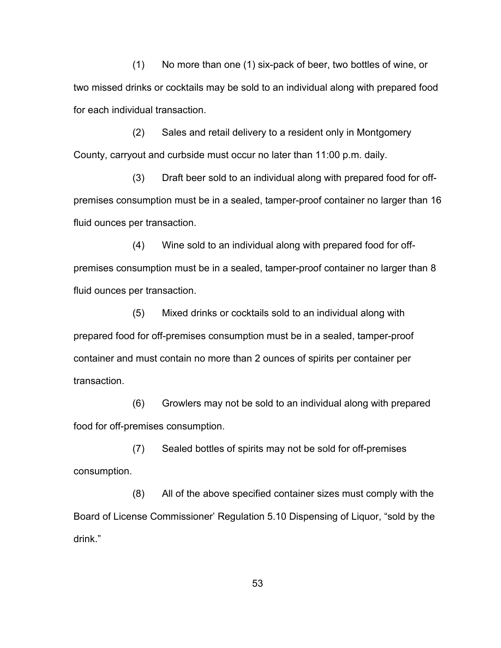(1) No more than one (1) six-pack of beer, two bottles of wine, or two missed drinks or cocktails may be sold to an individual along with prepared food for each individual transaction.

(2) Sales and retail delivery to a resident only in Montgomery County, carryout and curbside must occur no later than 11:00 p.m. daily.

(3) Draft beer sold to an individual along with prepared food for offpremises consumption must be in a sealed, tamper-proof container no larger than 16 fluid ounces per transaction.

(4) Wine sold to an individual along with prepared food for offpremises consumption must be in a sealed, tamper-proof container no larger than 8 fluid ounces per transaction.

(5) Mixed drinks or cocktails sold to an individual along with prepared food for off-premises consumption must be in a sealed, tamper-proof container and must contain no more than 2 ounces of spirits per container per transaction.

(6) Growlers may not be sold to an individual along with prepared food for off-premises consumption.

(7) Sealed bottles of spirits may not be sold for off-premises consumption.

(8) All of the above specified container sizes must comply with the Board of License Commissioner' Regulation 5.10 Dispensing of Liquor, "sold by the drink."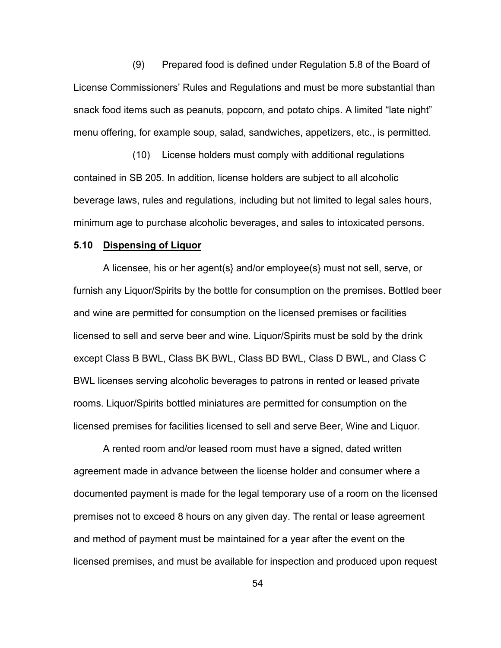(9) Prepared food is defined under Regulation 5.8 of the Board of License Commissioners' Rules and Regulations and must be more substantial than snack food items such as peanuts, popcorn, and potato chips. A limited "late night" menu offering, for example soup, salad, sandwiches, appetizers, etc., is permitted.

(10) License holders must comply with additional regulations contained in SB 205. In addition, license holders are subject to all alcoholic beverage laws, rules and regulations, including but not limited to legal sales hours, minimum age to purchase alcoholic beverages, and sales to intoxicated persons.

#### **5.10 Dispensing of Liquor**

A licensee, his or her agent(s} and/or employee(s} must not sell, serve, or furnish any Liquor/Spirits by the bottle for consumption on the premises. Bottled beer and wine are permitted for consumption on the licensed premises or facilities licensed to sell and serve beer and wine. Liquor/Spirits must be sold by the drink except Class B BWL, Class BK BWL, Class BD BWL, Class D BWL, and Class C BWL licenses serving alcoholic beverages to patrons in rented or leased private rooms. Liquor/Spirits bottled miniatures are permitted for consumption on the licensed premises for facilities licensed to sell and serve Beer, Wine and Liquor.

A rented room and/or leased room must have a signed, dated written agreement made in advance between the license holder and consumer where a documented payment is made for the legal temporary use of a room on the licensed premises not to exceed 8 hours on any given day. The rental or lease agreement and method of payment must be maintained for a year after the event on the licensed premises, and must be available for inspection and produced upon request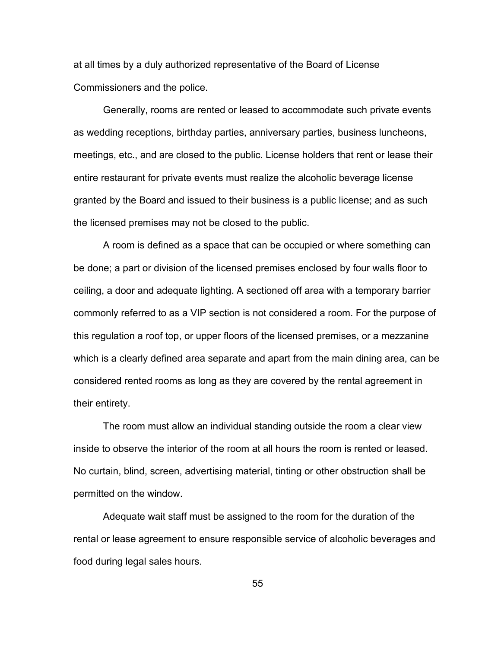at all times by a duly authorized representative of the Board of License Commissioners and the police.

Generally, rooms are rented or leased to accommodate such private events as wedding receptions, birthday parties, anniversary parties, business luncheons, meetings, etc., and are closed to the public. License holders that rent or lease their entire restaurant for private events must realize the alcoholic beverage license granted by the Board and issued to their business is a public license; and as such the licensed premises may not be closed to the public.

A room is defined as a space that can be occupied or where something can be done; a part or division of the licensed premises enclosed by four walls floor to ceiling, a door and adequate lighting. A sectioned off area with a temporary barrier commonly referred to as a VIP section is not considered a room. For the purpose of this regulation a roof top, or upper floors of the licensed premises, or a mezzanine which is a clearly defined area separate and apart from the main dining area, can be considered rented rooms as long as they are covered by the rental agreement in their entirety.

The room must allow an individual standing outside the room a clear view inside to observe the interior of the room at all hours the room is rented or leased. No curtain, blind, screen, advertising material, tinting or other obstruction shall be permitted on the window.

Adequate wait staff must be assigned to the room for the duration of the rental or lease agreement to ensure responsible service of alcoholic beverages and food during legal sales hours.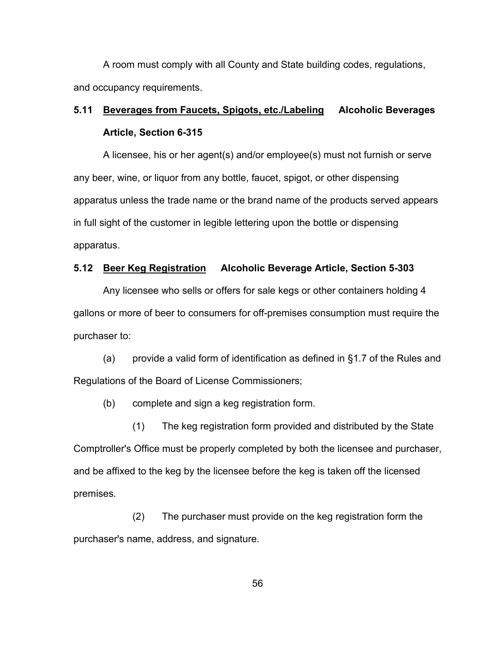A room must comply with all County and State building codes, regulations, and occupancy requirements.

# **5.11 Beverages from Faucets, Spigots, etc./Labeling Alcoholic Beverages Article, Section 6-315**

A licensee, his or her agent(s) and/or employee(s) must not furnish or serve any beer, wine, or liquor from any bottle, faucet, spigot, or other dispensing apparatus unless the trade name or the brand name of the products served appears in full sight of the customer in legible lettering upon the bottle or dispensing apparatus.

# **5.12 Beer Keg Registration Alcoholic Beverage Article, Section 5-303**

Any licensee who sells or offers for sale kegs or other containers holding 4 gallons or more of beer to consumers for off-premises consumption must require the purchaser to:

(a) provide a valid form of identification as defined in §1.7 of the Rules and Regulations of the Board of License Commissioners;

(b) complete and sign a keg registration form.

(1) The keg registration form provided and distributed by the State Comptroller's Office must be properly completed by both the licensee and purchaser, and be affixed to the keg by the licensee before the keg is taken off the licensed premises.

(2) The purchaser must provide on the keg registration form the purchaser's name, address, and signature.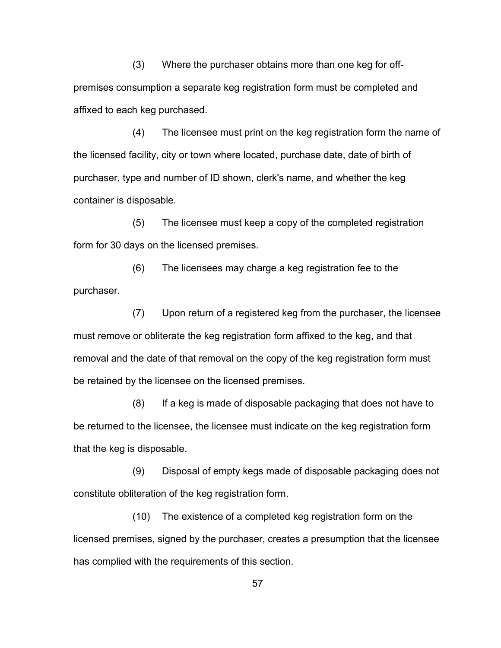(3) Where the purchaser obtains more than one keg for offpremises consumption a separate keg registration form must be completed and affixed to each keg purchased.

(4) The licensee must print on the keg registration form the name of the licensed facility, city or town where located, purchase date, date of birth of purchaser, type and number of ID shown, clerk's name, and whether the keg container is disposable.

(5) The licensee must keep a copy of the completed registration form for 30 days on the licensed premises.

(6) The licensees may charge a keg registration fee to the purchaser.

(7) Upon return of a registered keg from the purchaser, the licensee must remove or obliterate the keg registration form affixed to the keg, and that removal and the date of that removal on the copy of the keg registration form must be retained by the licensee on the licensed premises.

(8) If a keg is made of disposable packaging that does not have to be returned to the licensee, the licensee must indicate on the keg registration form that the keg is disposable.

(9) Disposal of empty kegs made of disposable packaging does not constitute obliteration of the keg registration form.

(10) The existence of a completed keg registration form on the licensed premises, signed by the purchaser, creates a presumption that the licensee has complied with the requirements of this section.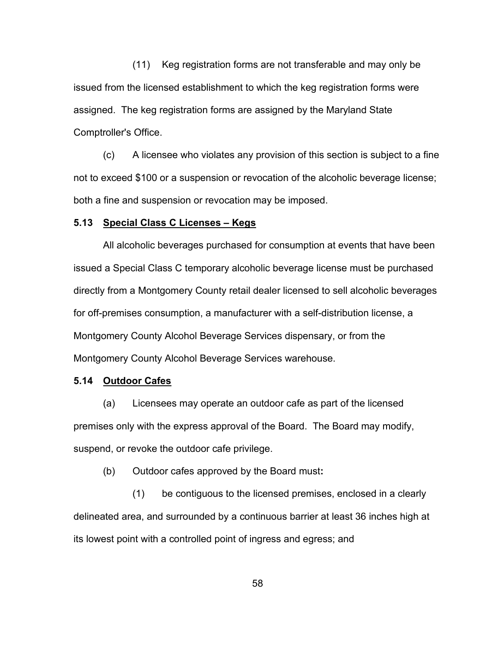(11) Keg registration forms are not transferable and may only be issued from the licensed establishment to which the keg registration forms were assigned. The keg registration forms are assigned by the Maryland State Comptroller's Office.

(c) A licensee who violates any provision of this section is subject to a fine not to exceed \$100 or a suspension or revocation of the alcoholic beverage license; both a fine and suspension or revocation may be imposed.

#### **5.13 Special Class C Licenses – Kegs**

All alcoholic beverages purchased for consumption at events that have been issued a Special Class C temporary alcoholic beverage license must be purchased directly from a Montgomery County retail dealer licensed to sell alcoholic beverages for off-premises consumption, a manufacturer with a self-distribution license, a Montgomery County Alcohol Beverage Services dispensary, or from the Montgomery County Alcohol Beverage Services warehouse.

### **5.14 Outdoor Cafes**

(a) Licensees may operate an outdoor cafe as part of the licensed premises only with the express approval of the Board. The Board may modify, suspend, or revoke the outdoor cafe privilege.

(b) Outdoor cafes approved by the Board must**:** 

(1) be contiguous to the licensed premises, enclosed in a clearly delineated area, and surrounded by a continuous barrier at least 36 inches high at its lowest point with a controlled point of ingress and egress; and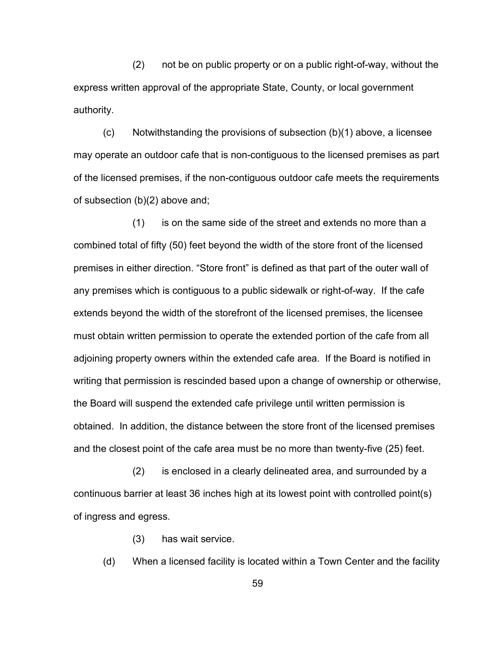(2) not be on public property or on a public right-of-way, without the express written approval of the appropriate State, County, or local government authority.

 $(c)$  Notwithstanding the provisions of subsection  $(b)(1)$  above, a licensee may operate an outdoor cafe that is non-contiguous to the licensed premises as part of the licensed premises, if the non-contiguous outdoor cafe meets the requirements of subsection (b)(2) above and;

(1) is on the same side of the street and extends no more than a combined total of fifty (50) feet beyond the width of the store front of the licensed premises in either direction. "Store front" is defined as that part of the outer wall of any premises which is contiguous to a public sidewalk or right-of-way. If the cafe extends beyond the width of the storefront of the licensed premises, the licensee must obtain written permission to operate the extended portion of the cafe from all adjoining property owners within the extended cafe area. If the Board is notified in writing that permission is rescinded based upon a change of ownership or otherwise, the Board will suspend the extended cafe privilege until written permission is obtained. In addition, the distance between the store front of the licensed premises and the closest point of the cafe area must be no more than twenty-five (25) feet.

(2) is enclosed in a clearly delineated area, and surrounded by a continuous barrier at least 36 inches high at its lowest point with controlled point(s) of ingress and egress.

(3) has wait service.

(d) When a licensed facility is located within a Town Center and the facility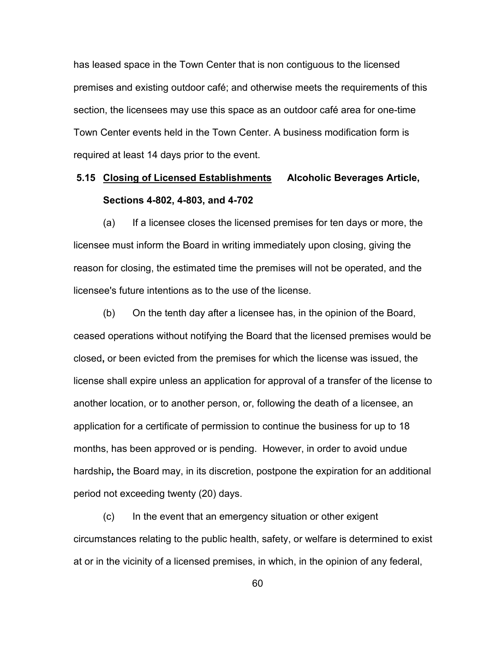has leased space in the Town Center that is non contiguous to the licensed premises and existing outdoor café; and otherwise meets the requirements of this section, the licensees may use this space as an outdoor café area for one-time Town Center events held in the Town Center. A business modification form is required at least 14 days prior to the event.

# **5.15 Closing of Licensed Establishments Alcoholic Beverages Article, Sections 4-802, 4-803, and 4-702**

(a) If a licensee closes the licensed premises for ten days or more, the licensee must inform the Board in writing immediately upon closing, giving the reason for closing, the estimated time the premises will not be operated, and the licensee's future intentions as to the use of the license.

(b) On the tenth day after a licensee has, in the opinion of the Board, ceased operations without notifying the Board that the licensed premises would be closed**,** or been evicted from the premises for which the license was issued, the license shall expire unless an application for approval of a transfer of the license to another location, or to another person, or, following the death of a licensee, an application for a certificate of permission to continue the business for up to 18 months, has been approved or is pending. However, in order to avoid undue hardship**,** the Board may, in its discretion, postpone the expiration for an additional period not exceeding twenty (20) days.

(c) In the event that an emergency situation or other exigent circumstances relating to the public health, safety, or welfare is determined to exist at or in the vicinity of a licensed premises, in which, in the opinion of any federal,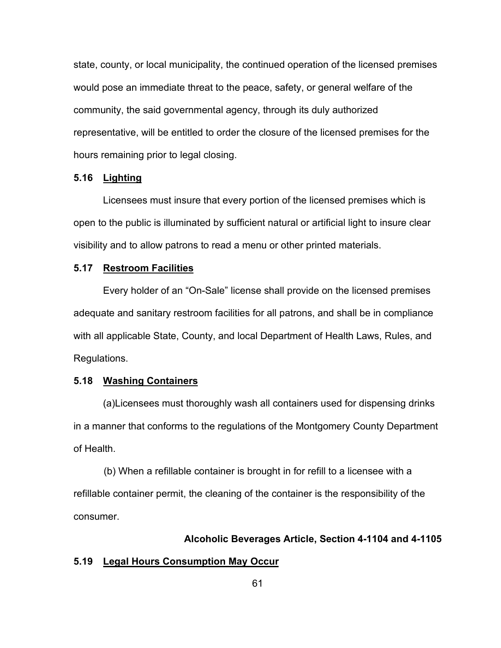state, county, or local municipality, the continued operation of the licensed premises would pose an immediate threat to the peace, safety, or general welfare of the community, the said governmental agency, through its duly authorized representative, will be entitled to order the closure of the licensed premises for the hours remaining prior to legal closing.

# **5.16 Lighting**

Licensees must insure that every portion of the licensed premises which is open to the public is illuminated by sufficient natural or artificial light to insure clear visibility and to allow patrons to read a menu or other printed materials.

#### **5.17 Restroom Facilities**

Every holder of an "On-Sale" license shall provide on the licensed premises adequate and sanitary restroom facilities for all patrons, and shall be in compliance with all applicable State, County, and local Department of Health Laws, Rules, and Regulations.

#### **5.18 Washing Containers**

(a)Licensees must thoroughly wash all containers used for dispensing drinks in a manner that conforms to the regulations of the Montgomery County Department of Health.

 (b) When a refillable container is brought in for refill to a licensee with a refillable container permit, the cleaning of the container is the responsibility of the consumer.

#### **Alcoholic Beverages Article, Section 4-1104 and 4-1105**

### **5.19 Legal Hours Consumption May Occur**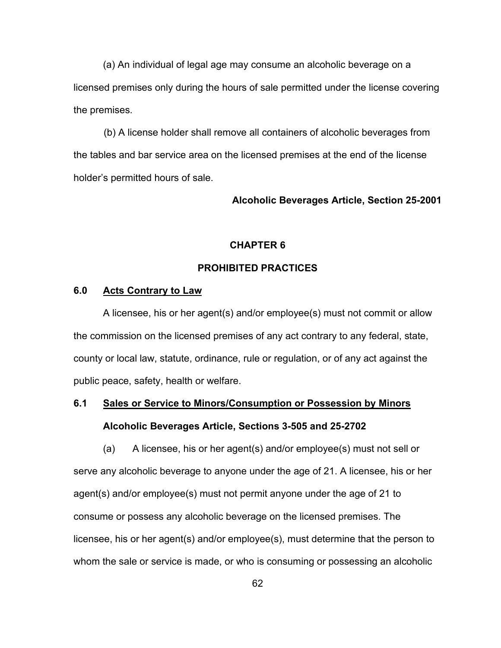(a) An individual of legal age may consume an alcoholic beverage on a licensed premises only during the hours of sale permitted under the license covering the premises.

 (b) A license holder shall remove all containers of alcoholic beverages from the tables and bar service area on the licensed premises at the end of the license holder's permitted hours of sale.

### **Alcoholic Beverages Article, Section 25-2001**

# **CHAPTER 6**

# **PROHIBITED PRACTICES**

# **6.0 Acts Contrary to Law**

A licensee, his or her agent(s) and/or employee(s) must not commit or allow the commission on the licensed premises of any act contrary to any federal, state, county or local law, statute, ordinance, rule or regulation, or of any act against the public peace, safety, health or welfare.

# **6.1 Sales or Service to Minors/Consumption or Possession by Minors Alcoholic Beverages Article, Sections 3-505 and 25-2702**

(a) A licensee, his or her agent(s) and/or employee(s) must not sell or serve any alcoholic beverage to anyone under the age of 21. A licensee, his or her agent(s) and/or employee(s) must not permit anyone under the age of 21 to consume or possess any alcoholic beverage on the licensed premises. The licensee, his or her agent(s) and/or employee(s), must determine that the person to whom the sale or service is made, or who is consuming or possessing an alcoholic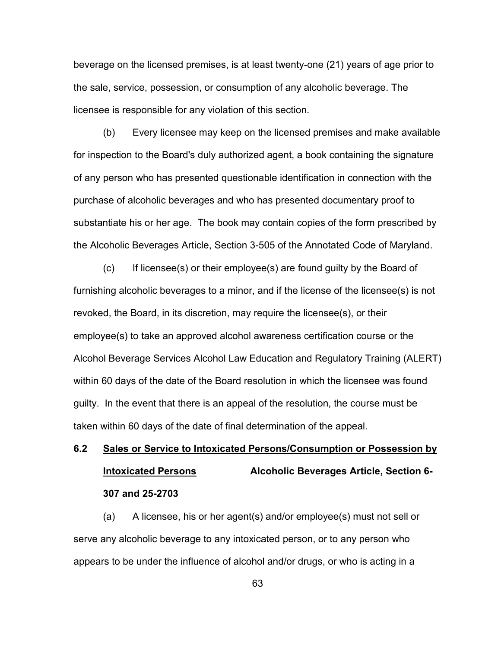beverage on the licensed premises, is at least twenty-one (21) years of age prior to the sale, service, possession, or consumption of any alcoholic beverage. The licensee is responsible for any violation of this section.

(b) Every licensee may keep on the licensed premises and make available for inspection to the Board's duly authorized agent, a book containing the signature of any person who has presented questionable identification in connection with the purchase of alcoholic beverages and who has presented documentary proof to substantiate his or her age. The book may contain copies of the form prescribed by the Alcoholic Beverages Article, Section 3-505 of the Annotated Code of Maryland.

(c) If licensee(s) or their employee(s) are found guilty by the Board of furnishing alcoholic beverages to a minor, and if the license of the licensee(s) is not revoked, the Board, in its discretion, may require the licensee(s), or their employee(s) to take an approved alcohol awareness certification course or the Alcohol Beverage Services Alcohol Law Education and Regulatory Training (ALERT) within 60 days of the date of the Board resolution in which the licensee was found guilty. In the event that there is an appeal of the resolution, the course must be taken within 60 days of the date of final determination of the appeal.

# **6.2 Sales or Service to Intoxicated Persons/Consumption or Possession by Intoxicated Persons Alcoholic Beverages Article, Section 6- 307 and 25-2703**

(a) A licensee, his or her agent(s) and/or employee(s) must not sell or serve any alcoholic beverage to any intoxicated person, or to any person who appears to be under the influence of alcohol and/or drugs, or who is acting in a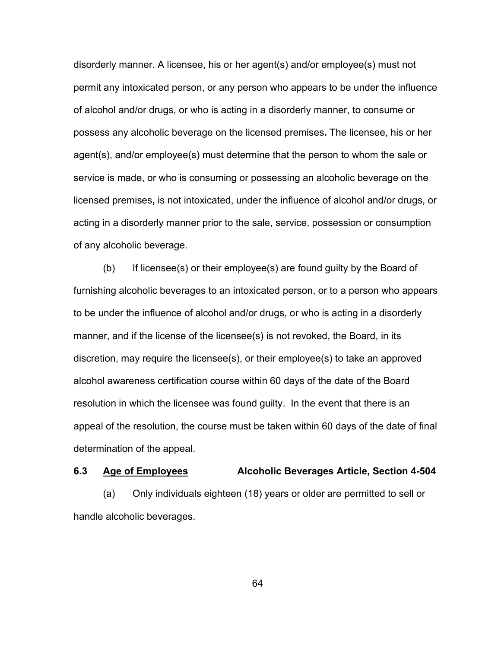disorderly manner. A licensee, his or her agent(s) and/or employee(s) must not permit any intoxicated person, or any person who appears to be under the influence of alcohol and/or drugs, or who is acting in a disorderly manner, to consume or possess any alcoholic beverage on the licensed premises**.** The licensee, his or her agent(s), and/or employee(s) must determine that the person to whom the sale or service is made, or who is consuming or possessing an alcoholic beverage on the licensed premises**,** is not intoxicated, under the influence of alcohol and/or drugs, or acting in a disorderly manner prior to the sale, service, possession or consumption of any alcoholic beverage.

(b) If licensee(s) or their employee(s) are found guilty by the Board of furnishing alcoholic beverages to an intoxicated person, or to a person who appears to be under the influence of alcohol and/or drugs, or who is acting in a disorderly manner, and if the license of the licensee(s) is not revoked, the Board, in its discretion, may require the licensee(s), or their employee(s) to take an approved alcohol awareness certification course within 60 days of the date of the Board resolution in which the licensee was found guilty. In the event that there is an appeal of the resolution, the course must be taken within 60 days of the date of final determination of the appeal.

#### **6.3 Age of Employees Alcoholic Beverages Article, Section 4-504**

(a) Only individuals eighteen (18) years or older are permitted to sell or handle alcoholic beverages.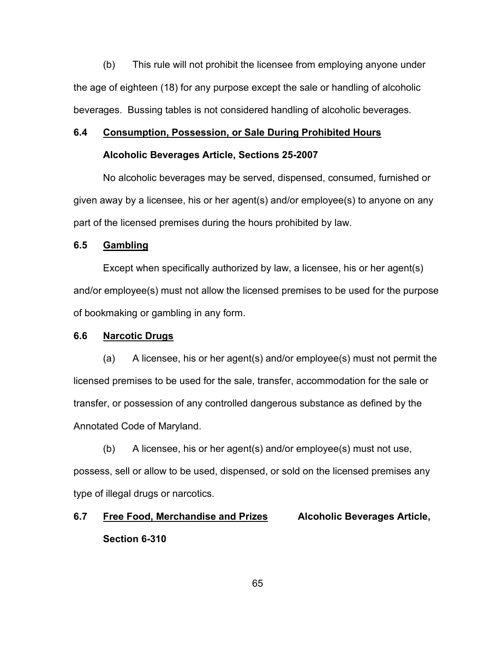(b) This rule will not prohibit the licensee from employing anyone under the age of eighteen (18) for any purpose except the sale or handling of alcoholic beverages. Bussing tables is not considered handling of alcoholic beverages.

#### **6.4 Consumption, Possession, or Sale During Prohibited Hours**

#### **Alcoholic Beverages Article, Sections 25-2007**

No alcoholic beverages may be served, dispensed, consumed, furnished or given away by a licensee, his or her agent(s) and/or employee(s) to anyone on any part of the licensed premises during the hours prohibited by law.

### **6.5 Gambling**

Except when specifically authorized by law, a licensee, his or her agent(s) and/or employee(s) must not allow the licensed premises to be used for the purpose of bookmaking or gambling in any form.

#### **6.6 Narcotic Drugs**

(a) A licensee, his or her agent(s) and/or employee(s) must not permit the licensed premises to be used for the sale, transfer, accommodation for the sale or transfer, or possession of any controlled dangerous substance as defined by the Annotated Code of Maryland.

(b) A licensee, his or her agent(s) and/or employee(s) must not use, possess, sell or allow to be used, dispensed, or sold on the licensed premises any type of illegal drugs or narcotics.

# **6.7 Free Food, Merchandise and Prizes Alcoholic Beverages Article, Section 6-310**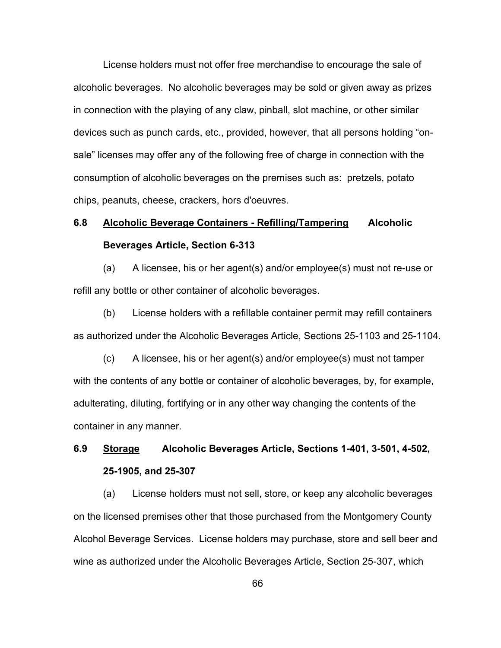License holders must not offer free merchandise to encourage the sale of alcoholic beverages. No alcoholic beverages may be sold or given away as prizes in connection with the playing of any claw, pinball, slot machine, or other similar devices such as punch cards, etc., provided, however, that all persons holding "onsale" licenses may offer any of the following free of charge in connection with the consumption of alcoholic beverages on the premises such as: pretzels, potato chips, peanuts, cheese, crackers, hors d'oeuvres.

# **6.8 Alcoholic Beverage Containers - Refilling/Tampering Alcoholic Beverages Article, Section 6-313**

(a) A licensee, his or her agent(s) and/or employee(s) must not re-use or refill any bottle or other container of alcoholic beverages.

(b) License holders with a refillable container permit may refill containers as authorized under the Alcoholic Beverages Article, Sections 25-1103 and 25-1104.

(c) A licensee, his or her agent(s) and/or employee(s) must not tamper with the contents of any bottle or container of alcoholic beverages, by, for example, adulterating, diluting, fortifying or in any other way changing the contents of the container in any manner.

## **6.9 Storage Alcoholic Beverages Article, Sections 1-401, 3-501, 4-502, 25-1905, and 25-307**

(a) License holders must not sell, store, or keep any alcoholic beverages on the licensed premises other that those purchased from the Montgomery County Alcohol Beverage Services. License holders may purchase, store and sell beer and wine as authorized under the Alcoholic Beverages Article, Section 25-307, which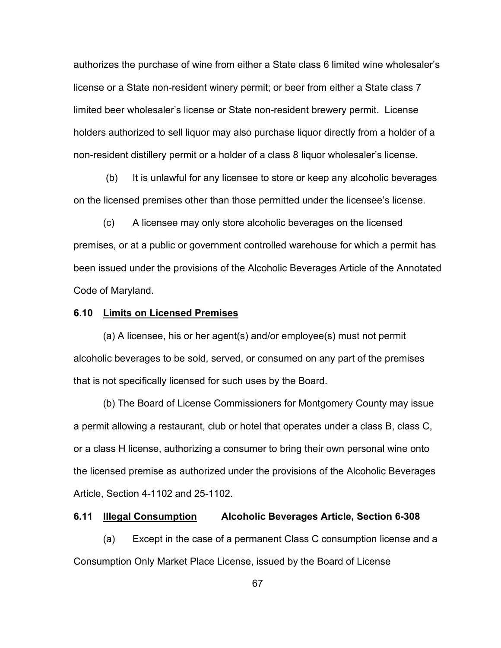authorizes the purchase of wine from either a State class 6 limited wine wholesaler's license or a State non-resident winery permit; or beer from either a State class 7 limited beer wholesaler's license or State non-resident brewery permit. License holders authorized to sell liquor may also purchase liquor directly from a holder of a non-resident distillery permit or a holder of a class 8 liquor wholesaler's license.

(b) It is unlawful for any licensee to store or keep any alcoholic beverages on the licensed premises other than those permitted under the licensee's license.

(c) A licensee may only store alcoholic beverages on the licensed premises, or at a public or government controlled warehouse for which a permit has been issued under the provisions of the Alcoholic Beverages Article of the Annotated Code of Maryland.

## **6.10 Limits on Licensed Premises**

(a) A licensee, his or her agent(s) and/or employee(s) must not permit alcoholic beverages to be sold, served, or consumed on any part of the premises that is not specifically licensed for such uses by the Board.

(b) The Board of License Commissioners for Montgomery County may issue a permit allowing a restaurant, club or hotel that operates under a class B, class C, or a class H license, authorizing a consumer to bring their own personal wine onto the licensed premise as authorized under the provisions of the Alcoholic Beverages Article, Section 4-1102 and 25-1102.

## **6.11 Illegal Consumption Alcoholic Beverages Article, Section 6-308**

(a) Except in the case of a permanent Class C consumption license and a Consumption Only Market Place License, issued by the Board of License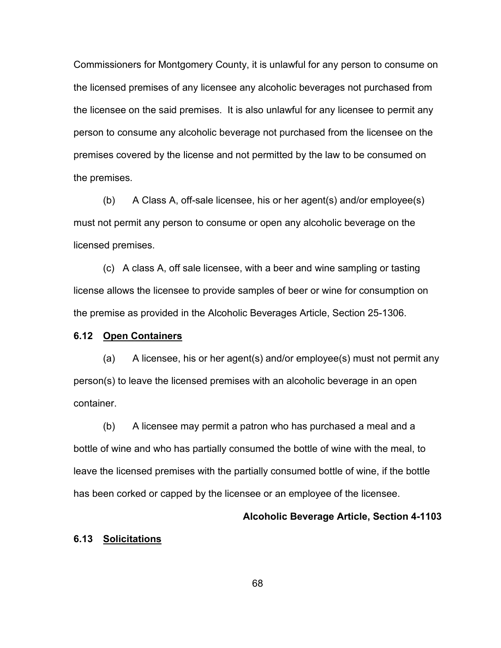Commissioners for Montgomery County, it is unlawful for any person to consume on the licensed premises of any licensee any alcoholic beverages not purchased from the licensee on the said premises. It is also unlawful for any licensee to permit any person to consume any alcoholic beverage not purchased from the licensee on the premises covered by the license and not permitted by the law to be consumed on the premises.

(b) A Class A, off-sale licensee, his or her agent(s) and/or employee(s) must not permit any person to consume or open any alcoholic beverage on the licensed premises.

(c) A class A, off sale licensee, with a beer and wine sampling or tasting license allows the licensee to provide samples of beer or wine for consumption on the premise as provided in the Alcoholic Beverages Article, Section 25-1306.

## **6.12 Open Containers**

(a) A licensee, his or her agent(s) and/or employee(s) must not permit any person(s) to leave the licensed premises with an alcoholic beverage in an open container.

(b) A licensee may permit a patron who has purchased a meal and a bottle of wine and who has partially consumed the bottle of wine with the meal, to leave the licensed premises with the partially consumed bottle of wine, if the bottle has been corked or capped by the licensee or an employee of the licensee.

## **Alcoholic Beverage Article, Section 4-1103**

## **6.13 Solicitations**

68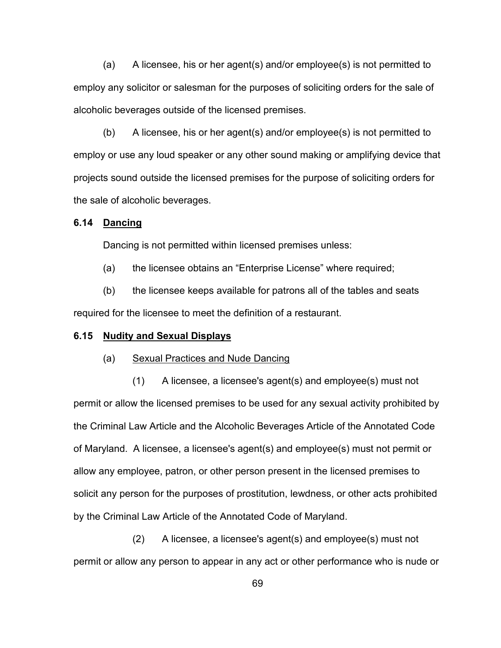(a) A licensee, his or her agent(s) and/or employee(s) is not permitted to employ any solicitor or salesman for the purposes of soliciting orders for the sale of alcoholic beverages outside of the licensed premises.

(b) A licensee, his or her agent(s) and/or employee(s) is not permitted to employ or use any loud speaker or any other sound making or amplifying device that projects sound outside the licensed premises for the purpose of soliciting orders for the sale of alcoholic beverages.

## **6.14 Dancing**

Dancing is not permitted within licensed premises unless:

(a) the licensee obtains an "Enterprise License" where required;

(b) the licensee keeps available for patrons all of the tables and seats required for the licensee to meet the definition of a restaurant.

## **6.15 Nudity and Sexual Displays**

#### (a) Sexual Practices and Nude Dancing

(1) A licensee, a licensee's agent(s) and employee(s) must not permit or allow the licensed premises to be used for any sexual activity prohibited by the Criminal Law Article and the Alcoholic Beverages Article of the Annotated Code of Maryland. A licensee, a licensee's agent(s) and employee(s) must not permit or allow any employee, patron, or other person present in the licensed premises to solicit any person for the purposes of prostitution, lewdness, or other acts prohibited by the Criminal Law Article of the Annotated Code of Maryland.

(2) A licensee, a licensee's agent(s) and employee(s) must not permit or allow any person to appear in any act or other performance who is nude or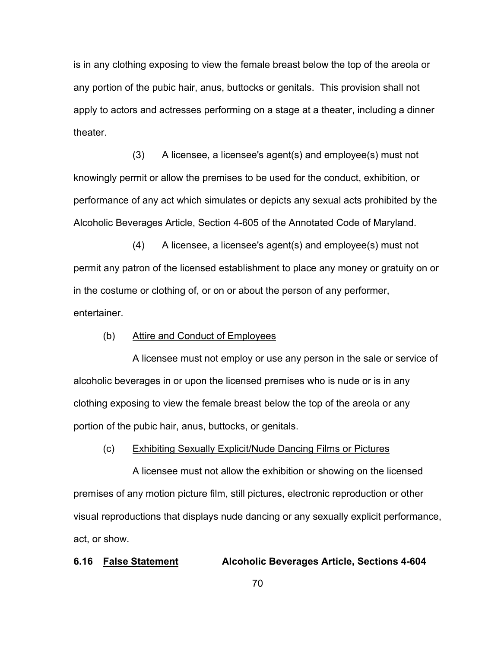is in any clothing exposing to view the female breast below the top of the areola or any portion of the pubic hair, anus, buttocks or genitals. This provision shall not apply to actors and actresses performing on a stage at a theater, including a dinner theater.

(3) A licensee, a licensee's agent(s) and employee(s) must not knowingly permit or allow the premises to be used for the conduct, exhibition, or performance of any act which simulates or depicts any sexual acts prohibited by the Alcoholic Beverages Article, Section 4-605 of the Annotated Code of Maryland.

(4) A licensee, a licensee's agent(s) and employee(s) must not permit any patron of the licensed establishment to place any money or gratuity on or in the costume or clothing of, or on or about the person of any performer, entertainer.

## (b) Attire and Conduct of Employees

A licensee must not employ or use any person in the sale or service of alcoholic beverages in or upon the licensed premises who is nude or is in any clothing exposing to view the female breast below the top of the areola or any portion of the pubic hair, anus, buttocks, or genitals.

## (c) Exhibiting Sexually Explicit/Nude Dancing Films or Pictures

A licensee must not allow the exhibition or showing on the licensed premises of any motion picture film, still pictures, electronic reproduction or other visual reproductions that displays nude dancing or any sexually explicit performance, act, or show.

## **6.16 False Statement Alcoholic Beverages Article, Sections 4-604**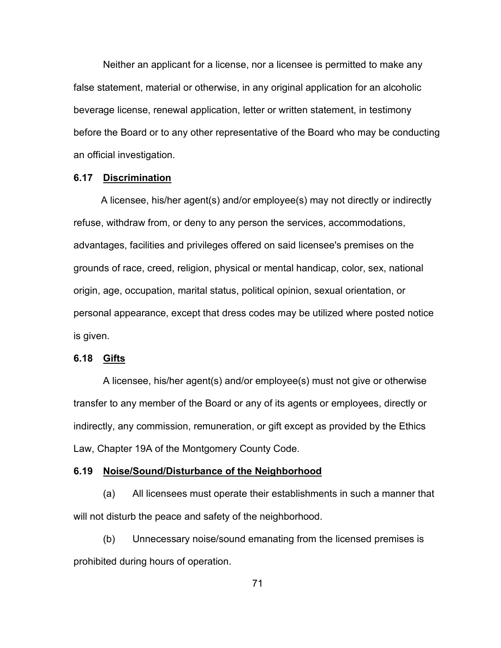Neither an applicant for a license, nor a licensee is permitted to make any false statement, material or otherwise, in any original application for an alcoholic beverage license, renewal application, letter or written statement, in testimony before the Board or to any other representative of the Board who may be conducting an official investigation.

## **6.17 Discrimination**

 A licensee, his/her agent(s) and/or employee(s) may not directly or indirectly refuse, withdraw from, or deny to any person the services, accommodations, advantages, facilities and privileges offered on said licensee's premises on the grounds of race, creed, religion, physical or mental handicap, color, sex, national origin, age, occupation, marital status, political opinion, sexual orientation, or personal appearance, except that dress codes may be utilized where posted notice is given.

## **6.18 Gifts**

A licensee, his/her agent(s) and/or employee(s) must not give or otherwise transfer to any member of the Board or any of its agents or employees, directly or indirectly, any commission, remuneration, or gift except as provided by the Ethics Law, Chapter 19A of the Montgomery County Code.

### **6.19 Noise/Sound/Disturbance of the Neighborhood**

(a) All licensees must operate their establishments in such a manner that will not disturb the peace and safety of the neighborhood.

(b) Unnecessary noise/sound emanating from the licensed premises is prohibited during hours of operation.

71